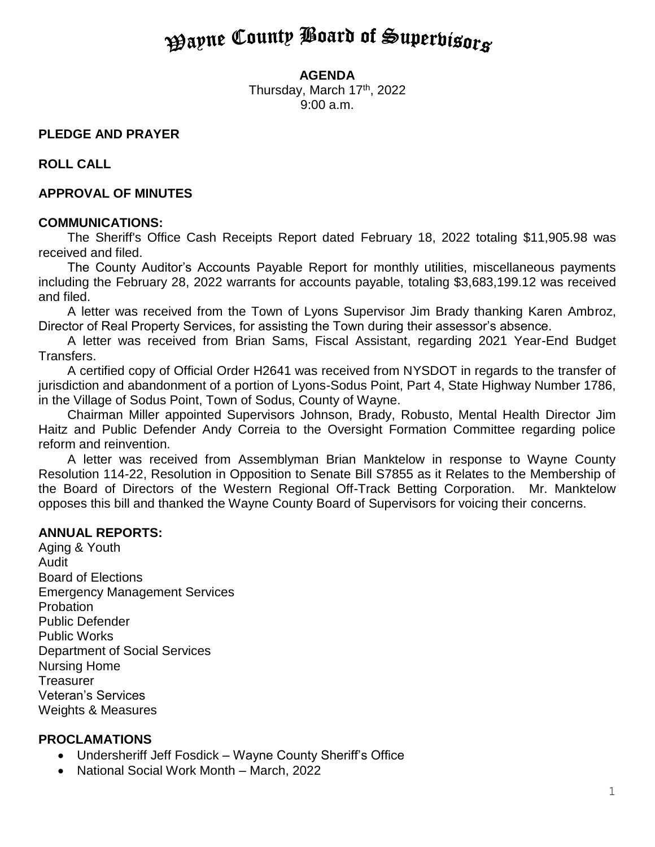# **Payne County Board of Superbisors**

#### **AGENDA**

Thursday, March 17<sup>th</sup>, 2022 9:00 a.m.

#### **PLEDGE AND PRAYER**

**ROLL CALL**

#### **APPROVAL OF MINUTES**

#### **COMMUNICATIONS:**

The Sheriff's Office Cash Receipts Report dated February 18, 2022 totaling \$11,905.98 was received and filed.

The County Auditor's Accounts Payable Report for monthly utilities, miscellaneous payments including the February 28, 2022 warrants for accounts payable, totaling \$3,683,199.12 was received and filed.

A letter was received from the Town of Lyons Supervisor Jim Brady thanking Karen Ambroz, Director of Real Property Services, for assisting the Town during their assessor's absence.

A letter was received from Brian Sams, Fiscal Assistant, regarding 2021 Year-End Budget Transfers.

A certified copy of Official Order H2641 was received from NYSDOT in regards to the transfer of jurisdiction and abandonment of a portion of Lyons-Sodus Point, Part 4, State Highway Number 1786, in the Village of Sodus Point, Town of Sodus, County of Wayne.

Chairman Miller appointed Supervisors Johnson, Brady, Robusto, Mental Health Director Jim Haitz and Public Defender Andy Correia to the Oversight Formation Committee regarding police reform and reinvention.

A letter was received from Assemblyman Brian Manktelow in response to Wayne County Resolution 114-22, Resolution in Opposition to Senate Bill S7855 as it Relates to the Membership of the Board of Directors of the Western Regional Off-Track Betting Corporation. Mr. Manktelow opposes this bill and thanked the Wayne County Board of Supervisors for voicing their concerns.

#### **ANNUAL REPORTS:**

Aging & Youth Audit Board of Elections Emergency Management Services Probation Public Defender Public Works Department of Social Services Nursing Home **Treasurer** Veteran's Services Weights & Measures

#### **PROCLAMATIONS**

- Undersheriff Jeff Fosdick Wayne County Sheriff's Office
- National Social Work Month March, 2022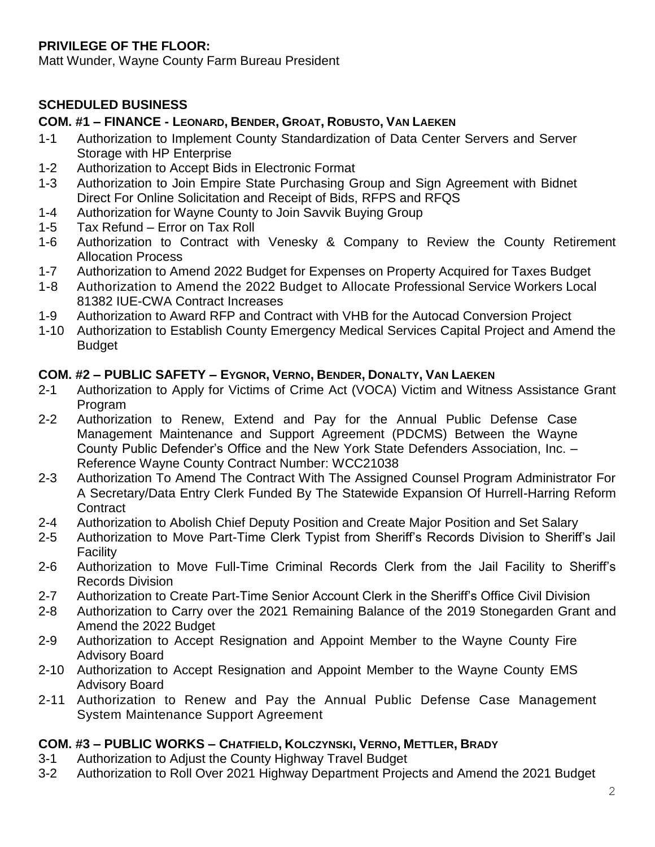### **PRIVILEGE OF THE FLOOR:**

Matt Wunder, Wayne County Farm Bureau President

### **SCHEDULED BUSINESS**

### **COM. #1 – FINANCE - LEONARD, BENDER, GROAT, ROBUSTO, VAN LAEKEN**

- 1-1 Authorization to Implement County Standardization of Data Center Servers and Server Storage with HP Enterprise
- 1-2 Authorization to Accept Bids in Electronic Format
- 1-3 Authorization to Join Empire State Purchasing Group and Sign Agreement with Bidnet Direct For Online Solicitation and Receipt of Bids, RFPS and RFQS
- 1-4 Authorization for Wayne County to Join Savvik Buying Group
- 1-5 Tax Refund Error on Tax Roll
- 1-6 Authorization to Contract with Venesky & Company to Review the County Retirement Allocation Process
- 1-7 Authorization to Amend 2022 Budget for Expenses on Property Acquired for Taxes Budget
- 1-8 Authorization to Amend the 2022 Budget to Allocate Professional Service Workers Local 81382 IUE-CWA Contract Increases
- 1-9 Authorization to Award RFP and Contract with VHB for the Autocad Conversion Project
- 1-10 Authorization to Establish County Emergency Medical Services Capital Project and Amend the Budget

### **COM. #2 – PUBLIC SAFETY – EYGNOR, VERNO, BENDER, DONALTY, VAN LAEKEN**

- 2-1 Authorization to Apply for Victims of Crime Act (VOCA) Victim and Witness Assistance Grant Program
- 2-2 Authorization to Renew, Extend and Pay for the Annual Public Defense Case Management Maintenance and Support Agreement (PDCMS) Between the Wayne County Public Defender's Office and the New York State Defenders Association, Inc. – Reference Wayne County Contract Number: WCC21038
- 2-3 Authorization To Amend The Contract With The Assigned Counsel Program Administrator For A Secretary/Data Entry Clerk Funded By The Statewide Expansion Of Hurrell-Harring Reform **Contract**
- 2-4 Authorization to Abolish Chief Deputy Position and Create Major Position and Set Salary
- 2-5 Authorization to Move Part-Time Clerk Typist from Sheriff's Records Division to Sheriff's Jail Facility
- 2-6 Authorization to Move Full-Time Criminal Records Clerk from the Jail Facility to Sheriff's Records Division
- 2-7 Authorization to Create Part-Time Senior Account Clerk in the Sheriff's Office Civil Division
- 2-8 Authorization to Carry over the 2021 Remaining Balance of the 2019 Stonegarden Grant and Amend the 2022 Budget
- 2-9 Authorization to Accept Resignation and Appoint Member to the Wayne County Fire Advisory Board
- 2-10 Authorization to Accept Resignation and Appoint Member to the Wayne County EMS Advisory Board
- 2-11 Authorization to Renew and Pay the Annual Public Defense Case Management System Maintenance Support Agreement

### **COM. #3 – PUBLIC WORKS – CHATFIELD, KOLCZYNSKI, VERNO, METTLER, BRADY**

- 3-1 Authorization to Adjust the County Highway Travel Budget
- 3-2 Authorization to Roll Over 2021 Highway Department Projects and Amend the 2021 Budget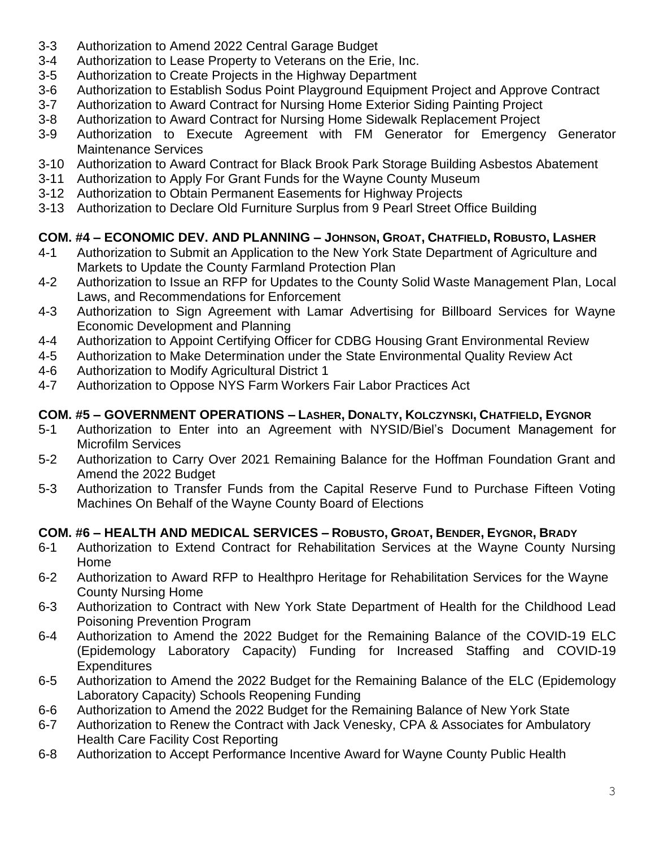- 3-3 Authorization to Amend 2022 Central Garage Budget
- 3-4 Authorization to Lease Property to Veterans on the Erie, Inc.
- 3-5 Authorization to Create Projects in the Highway Department
- 3-6 Authorization to Establish Sodus Point Playground Equipment Project and Approve Contract
- 3-7 Authorization to Award Contract for Nursing Home Exterior Siding Painting Project
- 3-8 Authorization to Award Contract for Nursing Home Sidewalk Replacement Project
- 3-9 Authorization to Execute Agreement with FM Generator for Emergency Generator Maintenance Services
- 3-10 Authorization to Award Contract for Black Brook Park Storage Building Asbestos Abatement
- 3-11 Authorization to Apply For Grant Funds for the Wayne County Museum
- 3-12 Authorization to Obtain Permanent Easements for Highway Projects
- 3-13 Authorization to Declare Old Furniture Surplus from 9 Pearl Street Office Building

## **COM. #4 – ECONOMIC DEV. AND PLANNING – JOHNSON, GROAT, CHATFIELD, ROBUSTO, LASHER**

- 4-1 Authorization to Submit an Application to the New York State Department of Agriculture and Markets to Update the County Farmland Protection Plan
- 4-2 Authorization to Issue an RFP for Updates to the County Solid Waste Management Plan, Local Laws, and Recommendations for Enforcement
- 4-3 Authorization to Sign Agreement with Lamar Advertising for Billboard Services for Wayne Economic Development and Planning
- 4-4 Authorization to Appoint Certifying Officer for CDBG Housing Grant Environmental Review
- 4-5 Authorization to Make Determination under the State Environmental Quality Review Act
- 4-6 Authorization to Modify Agricultural District 1
- 4-7 Authorization to Oppose NYS Farm Workers Fair Labor Practices Act

### **COM. #5 – GOVERNMENT OPERATIONS – LASHER, DONALTY, KOLCZYNSKI, CHATFIELD, EYGNOR**

- 5-1 Authorization to Enter into an Agreement with NYSID/Biel's Document Management for Microfilm Services
- 5-2 Authorization to Carry Over 2021 Remaining Balance for the Hoffman Foundation Grant and Amend the 2022 Budget
- 5-3 Authorization to Transfer Funds from the Capital Reserve Fund to Purchase Fifteen Voting Machines On Behalf of the Wayne County Board of Elections

### **COM. #6 – HEALTH AND MEDICAL SERVICES – ROBUSTO, GROAT, BENDER, EYGNOR, BRADY**

- 6-1 Authorization to Extend Contract for Rehabilitation Services at the Wayne County Nursing Home
- 6-2 Authorization to Award RFP to Healthpro Heritage for Rehabilitation Services for the Wayne County Nursing Home
- 6-3 Authorization to Contract with New York State Department of Health for the Childhood Lead Poisoning Prevention Program
- 6-4 Authorization to Amend the 2022 Budget for the Remaining Balance of the COVID-19 ELC (Epidemology Laboratory Capacity) Funding for Increased Staffing and COVID-19 **Expenditures**
- 6-5 Authorization to Amend the 2022 Budget for the Remaining Balance of the ELC (Epidemology Laboratory Capacity) Schools Reopening Funding
- 6-6 Authorization to Amend the 2022 Budget for the Remaining Balance of New York State
- 6-7 Authorization to Renew the Contract with Jack Venesky, CPA & Associates for Ambulatory Health Care Facility Cost Reporting
- 6-8 Authorization to Accept Performance Incentive Award for Wayne County Public Health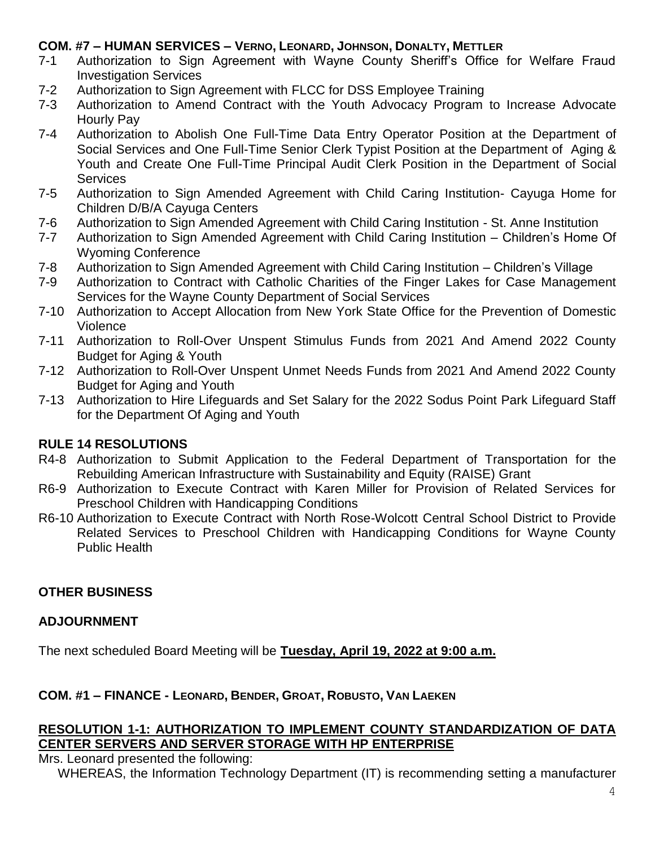### **COM. #7 – HUMAN SERVICES – VERNO, LEONARD, JOHNSON, DONALTY, METTLER**

- 7-1 Authorization to Sign Agreement with Wayne County Sheriff's Office for Welfare Fraud Investigation Services
- 7-2 Authorization to Sign Agreement with FLCC for DSS Employee Training
- 7-3 Authorization to Amend Contract with the Youth Advocacy Program to Increase Advocate Hourly Pay
- 7-4 Authorization to Abolish One Full-Time Data Entry Operator Position at the Department of Social Services and One Full-Time Senior Clerk Typist Position at the Department of Aging & Youth and Create One Full-Time Principal Audit Clerk Position in the Department of Social **Services**
- 7-5 Authorization to Sign Amended Agreement with Child Caring Institution- Cayuga Home for Children D/B/A Cayuga Centers
- 7-6 Authorization to Sign Amended Agreement with Child Caring Institution St. Anne Institution
- 7-7 Authorization to Sign Amended Agreement with Child Caring Institution Children's Home Of Wyoming Conference
- 7-8 Authorization to Sign Amended Agreement with Child Caring Institution Children's Village
- 7-9 Authorization to Contract with Catholic Charities of the Finger Lakes for Case Management Services for the Wayne County Department of Social Services
- 7-10 Authorization to Accept Allocation from New York State Office for the Prevention of Domestic Violence
- 7-11 Authorization to Roll-Over Unspent Stimulus Funds from 2021 And Amend 2022 County Budget for Aging & Youth
- 7-12 Authorization to Roll-Over Unspent Unmet Needs Funds from 2021 And Amend 2022 County Budget for Aging and Youth
- 7-13 Authorization to Hire Lifeguards and Set Salary for the 2022 Sodus Point Park Lifeguard Staff for the Department Of Aging and Youth

### **RULE 14 RESOLUTIONS**

- R4-8 Authorization to Submit Application to the Federal Department of Transportation for the Rebuilding American Infrastructure with Sustainability and Equity (RAISE) Grant
- R6-9 Authorization to Execute Contract with Karen Miller for Provision of Related Services for Preschool Children with Handicapping Conditions
- R6-10 Authorization to Execute Contract with North Rose-Wolcott Central School District to Provide Related Services to Preschool Children with Handicapping Conditions for Wayne County Public Health

### **OTHER BUSINESS**

### **ADJOURNMENT**

The next scheduled Board Meeting will be **Tuesday, April 19, 2022 at 9:00 a.m.**

### **COM. #1 – FINANCE - LEONARD, BENDER, GROAT, ROBUSTO, VAN LAEKEN**

### **RESOLUTION 1-1: AUTHORIZATION TO IMPLEMENT COUNTY STANDARDIZATION OF DATA CENTER SERVERS AND SERVER STORAGE WITH HP ENTERPRISE**

Mrs. Leonard presented the following:

WHEREAS, the Information Technology Department (IT) is recommending setting a manufacturer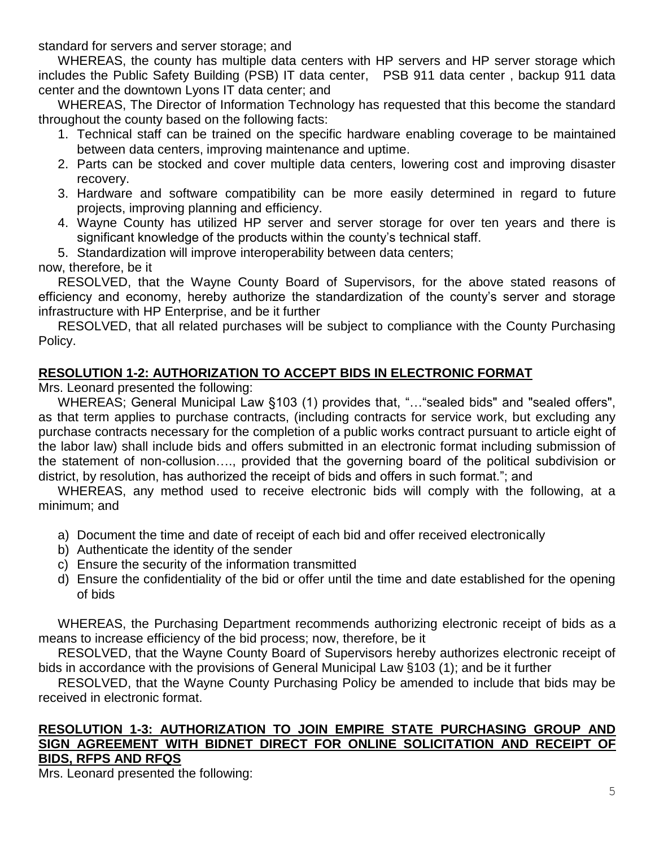standard for servers and server storage; and

WHEREAS, the county has multiple data centers with HP servers and HP server storage which includes the Public Safety Building (PSB) IT data center, PSB 911 data center , backup 911 data center and the downtown Lyons IT data center; and

WHEREAS, The Director of Information Technology has requested that this become the standard throughout the county based on the following facts:

- 1. Technical staff can be trained on the specific hardware enabling coverage to be maintained between data centers, improving maintenance and uptime.
- 2. Parts can be stocked and cover multiple data centers, lowering cost and improving disaster recovery.
- 3. Hardware and software compatibility can be more easily determined in regard to future projects, improving planning and efficiency.
- 4. Wayne County has utilized HP server and server storage for over ten years and there is significant knowledge of the products within the county's technical staff.
- 5. Standardization will improve interoperability between data centers;

### now, therefore, be it

RESOLVED, that the Wayne County Board of Supervisors, for the above stated reasons of efficiency and economy, hereby authorize the standardization of the county's server and storage infrastructure with HP Enterprise, and be it further

RESOLVED, that all related purchases will be subject to compliance with the County Purchasing Policy.

## **RESOLUTION 1-2: AUTHORIZATION TO ACCEPT BIDS IN ELECTRONIC FORMAT**

Mrs. Leonard presented the following:

WHEREAS; General Municipal Law §103 (1) provides that, "…"sealed bids" and "sealed offers", as that term applies to purchase contracts, (including contracts for service work, but excluding any purchase contracts necessary for the completion of a public works contract pursuant to article eight of the labor law) shall include bids and offers submitted in an electronic format including submission of the statement of non-collusion…., provided that the governing board of the political subdivision or district, by resolution, has authorized the receipt of bids and offers in such format."; and

WHEREAS, any method used to receive electronic bids will comply with the following, at a minimum; and

- a) Document the time and date of receipt of each bid and offer received electronically
- b) Authenticate the identity of the sender
- c) Ensure the security of the information transmitted
- d) Ensure the confidentiality of the bid or offer until the time and date established for the opening of bids

WHEREAS, the Purchasing Department recommends authorizing electronic receipt of bids as a means to increase efficiency of the bid process; now, therefore, be it

RESOLVED, that the Wayne County Board of Supervisors hereby authorizes electronic receipt of bids in accordance with the provisions of General Municipal Law §103 (1); and be it further

RESOLVED, that the Wayne County Purchasing Policy be amended to include that bids may be received in electronic format.

#### **RESOLUTION 1-3: AUTHORIZATION TO JOIN EMPIRE STATE PURCHASING GROUP AND SIGN AGREEMENT WITH BIDNET DIRECT FOR ONLINE SOLICITATION AND RECEIPT OF BIDS, RFPS AND RFQS**

Mrs. Leonard presented the following: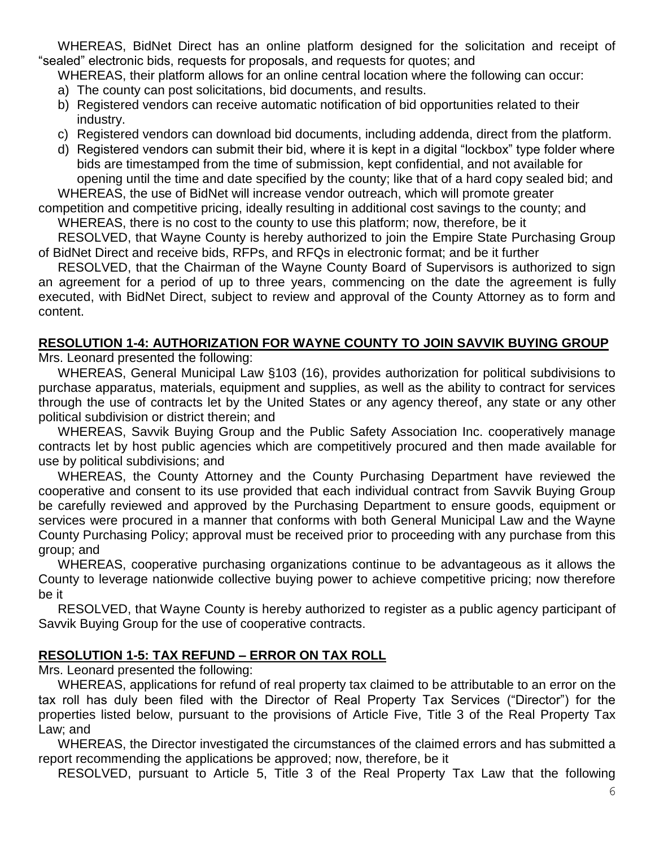WHEREAS, BidNet Direct has an online platform designed for the solicitation and receipt of "sealed" electronic bids, requests for proposals, and requests for quotes; and

WHEREAS, their platform allows for an online central location where the following can occur:

- a) The county can post solicitations, bid documents, and results.
- b) Registered vendors can receive automatic notification of bid opportunities related to their industry.
- c) Registered vendors can download bid documents, including addenda, direct from the platform.
- d) Registered vendors can submit their bid, where it is kept in a digital "lockbox" type folder where bids are timestamped from the time of submission, kept confidential, and not available for opening until the time and date specified by the county; like that of a hard copy sealed bid; and

WHEREAS, the use of BidNet will increase vendor outreach, which will promote greater competition and competitive pricing, ideally resulting in additional cost savings to the county; and

WHEREAS, there is no cost to the county to use this platform; now, therefore, be it

RESOLVED, that Wayne County is hereby authorized to join the Empire State Purchasing Group of BidNet Direct and receive bids, RFPs, and RFQs in electronic format; and be it further

RESOLVED, that the Chairman of the Wayne County Board of Supervisors is authorized to sign an agreement for a period of up to three years, commencing on the date the agreement is fully executed, with BidNet Direct, subject to review and approval of the County Attorney as to form and content.

## **RESOLUTION 1-4: AUTHORIZATION FOR WAYNE COUNTY TO JOIN SAVVIK BUYING GROUP**

Mrs. Leonard presented the following:

WHEREAS, General Municipal Law §103 (16), provides authorization for political subdivisions to purchase apparatus, materials, equipment and supplies, as well as the ability to contract for services through the use of contracts let by the United States or any agency thereof, any state or any other political subdivision or district therein; and

WHEREAS, Savvik Buying Group and the Public Safety Association Inc. cooperatively manage contracts let by host public agencies which are competitively procured and then made available for use by political subdivisions; and

WHEREAS, the County Attorney and the County Purchasing Department have reviewed the cooperative and consent to its use provided that each individual contract from Savvik Buying Group be carefully reviewed and approved by the Purchasing Department to ensure goods, equipment or services were procured in a manner that conforms with both General Municipal Law and the Wayne County Purchasing Policy; approval must be received prior to proceeding with any purchase from this group; and

WHEREAS, cooperative purchasing organizations continue to be advantageous as it allows the County to leverage nationwide collective buying power to achieve competitive pricing; now therefore be it

RESOLVED, that Wayne County is hereby authorized to register as a public agency participant of Savvik Buying Group for the use of cooperative contracts.

### **RESOLUTION 1-5: TAX REFUND – ERROR ON TAX ROLL**

Mrs. Leonard presented the following:

WHEREAS, applications for refund of real property tax claimed to be attributable to an error on the tax roll has duly been filed with the Director of Real Property Tax Services ("Director") for the properties listed below, pursuant to the provisions of Article Five, Title 3 of the Real Property Tax Law; and

WHEREAS, the Director investigated the circumstances of the claimed errors and has submitted a report recommending the applications be approved; now, therefore, be it

RESOLVED, pursuant to Article 5, Title 3 of the Real Property Tax Law that the following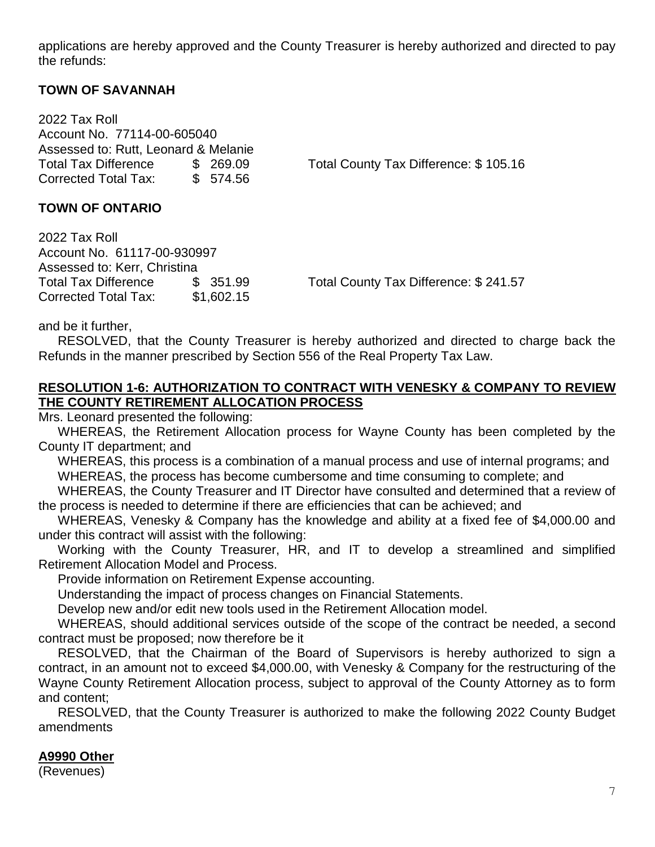applications are hereby approved and the County Treasurer is hereby authorized and directed to pay the refunds:

#### **TOWN OF SAVANNAH**

2022 Tax Roll Account No. 77114-00-605040 Assessed to: Rutt, Leonard & Melanie Corrected Total Tax: \$ 574.56

Total Tax Difference \$ 269.09 Total County Tax Difference: \$ 105.16

#### **TOWN OF ONTARIO**

2022 Tax Roll Account No. 61117-00-930997 Assessed to: Kerr, Christina Total Tax Difference  $\frac{1}{2}$  \$ 351.99 Total County Tax Difference: \$ 241.57 Corrected Total Tax: \$1,602.15

and be it further,

RESOLVED, that the County Treasurer is hereby authorized and directed to charge back the Refunds in the manner prescribed by Section 556 of the Real Property Tax Law.

#### **RESOLUTION 1-6: AUTHORIZATION TO CONTRACT WITH VENESKY & COMPANY TO REVIEW THE COUNTY RETIREMENT ALLOCATION PROCESS**

Mrs. Leonard presented the following:

WHEREAS, the Retirement Allocation process for Wayne County has been completed by the County IT department; and

WHEREAS, this process is a combination of a manual process and use of internal programs; and WHEREAS, the process has become cumbersome and time consuming to complete; and

WHEREAS, the County Treasurer and IT Director have consulted and determined that a review of the process is needed to determine if there are efficiencies that can be achieved; and

WHEREAS, Venesky & Company has the knowledge and ability at a fixed fee of \$4,000.00 and under this contract will assist with the following:

Working with the County Treasurer, HR, and IT to develop a streamlined and simplified Retirement Allocation Model and Process.

Provide information on Retirement Expense accounting.

Understanding the impact of process changes on Financial Statements.

Develop new and/or edit new tools used in the Retirement Allocation model.

WHEREAS, should additional services outside of the scope of the contract be needed, a second contract must be proposed; now therefore be it

RESOLVED, that the Chairman of the Board of Supervisors is hereby authorized to sign a contract, in an amount not to exceed \$4,000.00, with Venesky & Company for the restructuring of the Wayne County Retirement Allocation process, subject to approval of the County Attorney as to form and content;

RESOLVED, that the County Treasurer is authorized to make the following 2022 County Budget amendments

#### **A9990 Other**

(Revenues)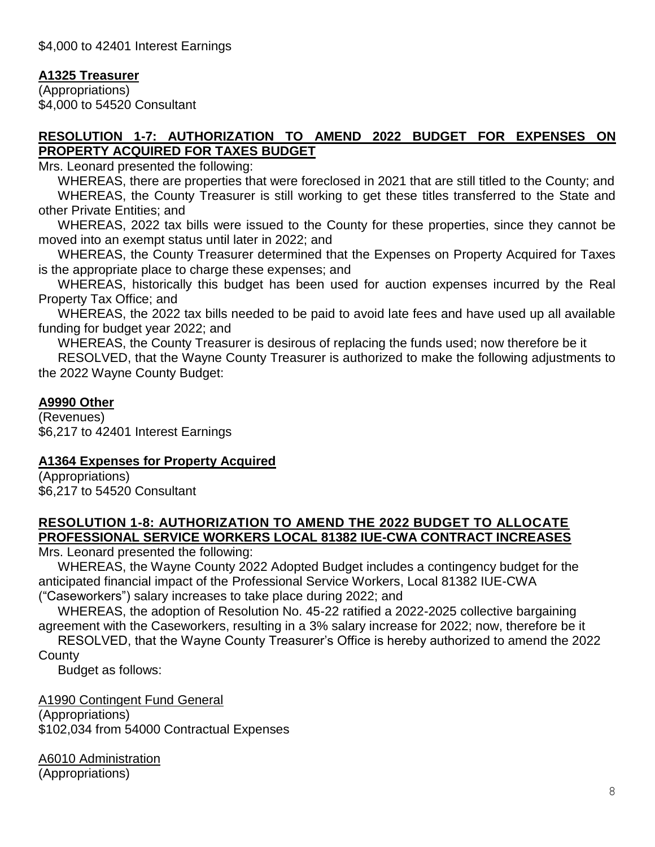### **A1325 Treasurer**

(Appropriations) \$4,000 to 54520 Consultant

### **RESOLUTION 1-7: AUTHORIZATION TO AMEND 2022 BUDGET FOR EXPENSES ON PROPERTY ACQUIRED FOR TAXES BUDGET**

Mrs. Leonard presented the following:

WHEREAS, there are properties that were foreclosed in 2021 that are still titled to the County; and WHEREAS, the County Treasurer is still working to get these titles transferred to the State and other Private Entities; and

WHEREAS, 2022 tax bills were issued to the County for these properties, since they cannot be moved into an exempt status until later in 2022; and

WHEREAS, the County Treasurer determined that the Expenses on Property Acquired for Taxes is the appropriate place to charge these expenses; and

WHEREAS, historically this budget has been used for auction expenses incurred by the Real Property Tax Office; and

WHEREAS, the 2022 tax bills needed to be paid to avoid late fees and have used up all available funding for budget year 2022; and

WHEREAS, the County Treasurer is desirous of replacing the funds used; now therefore be it RESOLVED, that the Wayne County Treasurer is authorized to make the following adjustments to the 2022 Wayne County Budget:

### **A9990 Other**

(Revenues) \$6,217 to 42401 Interest Earnings

### **A1364 Expenses for Property Acquired**

(Appropriations) \$6,217 to 54520 Consultant

#### **RESOLUTION 1-8: AUTHORIZATION TO AMEND THE 2022 BUDGET TO ALLOCATE PROFESSIONAL SERVICE WORKERS LOCAL 81382 IUE-CWA CONTRACT INCREASES**

Mrs. Leonard presented the following:

WHEREAS, the Wayne County 2022 Adopted Budget includes a contingency budget for the anticipated financial impact of the Professional Service Workers, Local 81382 IUE-CWA ("Caseworkers") salary increases to take place during 2022; and

WHEREAS, the adoption of Resolution No. 45-22 ratified a 2022-2025 collective bargaining agreement with the Caseworkers, resulting in a 3% salary increase for 2022; now, therefore be it

RESOLVED, that the Wayne County Treasurer's Office is hereby authorized to amend the 2022 County

Budget as follows:

A1990 Contingent Fund General

(Appropriations) \$102,034 from 54000 Contractual Expenses

A6010 Administration (Appropriations)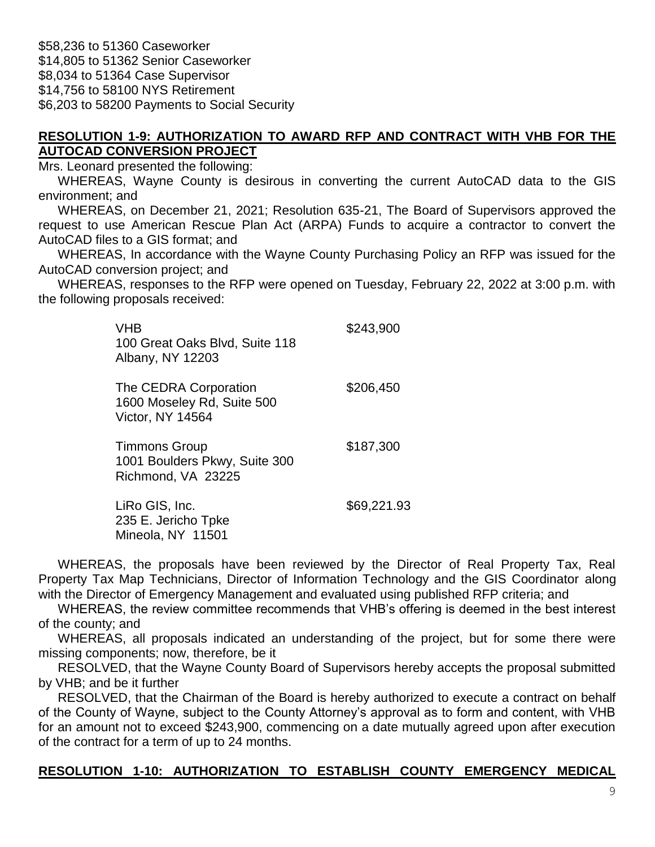\$58,236 to 51360 Caseworker \$14,805 to 51362 Senior Caseworker \$8,034 to 51364 Case Supervisor \$14,756 to 58100 NYS Retirement \$6,203 to 58200 Payments to Social Security

#### **RESOLUTION 1-9: AUTHORIZATION TO AWARD RFP AND CONTRACT WITH VHB FOR THE AUTOCAD CONVERSION PROJECT**

Mrs. Leonard presented the following:

WHEREAS, Wayne County is desirous in converting the current AutoCAD data to the GIS environment; and

WHEREAS, on December 21, 2021; Resolution 635-21, The Board of Supervisors approved the request to use American Rescue Plan Act (ARPA) Funds to acquire a contractor to convert the AutoCAD files to a GIS format; and

WHEREAS, In accordance with the Wayne County Purchasing Policy an RFP was issued for the AutoCAD conversion project; and

WHEREAS, responses to the RFP were opened on Tuesday, February 22, 2022 at 3:00 p.m. with the following proposals received:

| VHB<br>100 Great Oaks Blvd, Suite 118<br>Albany, NY 12203                      | \$243,900   |
|--------------------------------------------------------------------------------|-------------|
| The CEDRA Corporation<br>1600 Moseley Rd, Suite 500<br><b>Victor, NY 14564</b> | \$206,450   |
| <b>Timmons Group</b><br>1001 Boulders Pkwy, Suite 300<br>Richmond, VA 23225    | \$187,300   |
| LiRo GIS, Inc.<br>235 E. Jericho Tpke<br>Mineola, NY 11501                     | \$69,221.93 |

WHEREAS, the proposals have been reviewed by the Director of Real Property Tax, Real Property Tax Map Technicians, Director of Information Technology and the GIS Coordinator along with the Director of Emergency Management and evaluated using published RFP criteria; and

WHEREAS, the review committee recommends that VHB's offering is deemed in the best interest of the county; and

WHEREAS, all proposals indicated an understanding of the project, but for some there were missing components; now, therefore, be it

RESOLVED, that the Wayne County Board of Supervisors hereby accepts the proposal submitted by VHB; and be it further

RESOLVED, that the Chairman of the Board is hereby authorized to execute a contract on behalf of the County of Wayne, subject to the County Attorney's approval as to form and content, with VHB for an amount not to exceed \$243,900, commencing on a date mutually agreed upon after execution of the contract for a term of up to 24 months.

### **RESOLUTION 1-10: AUTHORIZATION TO ESTABLISH COUNTY EMERGENCY MEDICAL**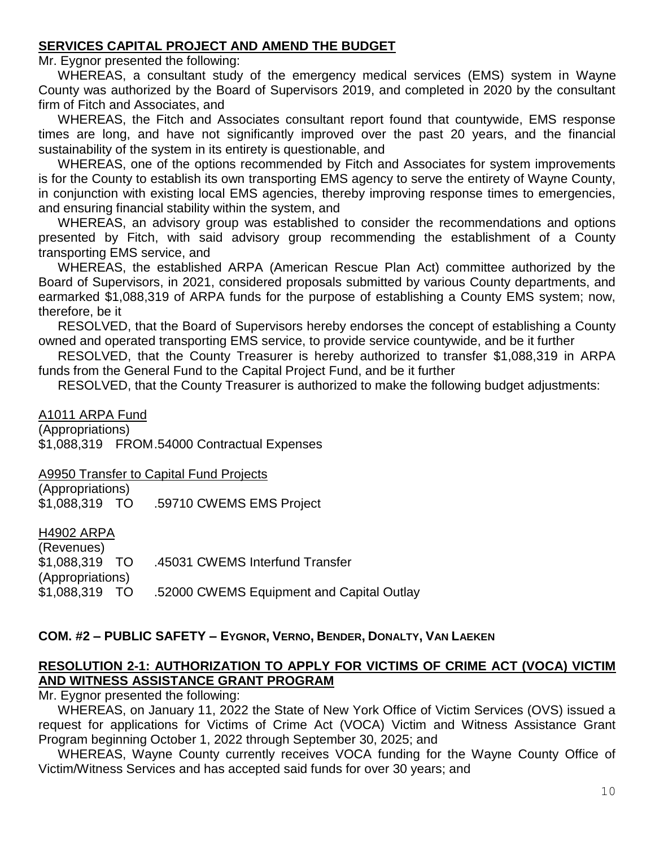### **SERVICES CAPITAL PROJECT AND AMEND THE BUDGET**

Mr. Eygnor presented the following:

WHEREAS, a consultant study of the emergency medical services (EMS) system in Wayne County was authorized by the Board of Supervisors 2019, and completed in 2020 by the consultant firm of Fitch and Associates, and

WHEREAS, the Fitch and Associates consultant report found that countywide, EMS response times are long, and have not significantly improved over the past 20 years, and the financial sustainability of the system in its entirety is questionable, and

WHEREAS, one of the options recommended by Fitch and Associates for system improvements is for the County to establish its own transporting EMS agency to serve the entirety of Wayne County, in conjunction with existing local EMS agencies, thereby improving response times to emergencies, and ensuring financial stability within the system, and

WHEREAS, an advisory group was established to consider the recommendations and options presented by Fitch, with said advisory group recommending the establishment of a County transporting EMS service, and

WHEREAS, the established ARPA (American Rescue Plan Act) committee authorized by the Board of Supervisors, in 2021, considered proposals submitted by various County departments, and earmarked \$1,088,319 of ARPA funds for the purpose of establishing a County EMS system; now, therefore, be it

RESOLVED, that the Board of Supervisors hereby endorses the concept of establishing a County owned and operated transporting EMS service, to provide service countywide, and be it further

RESOLVED, that the County Treasurer is hereby authorized to transfer \$1,088,319 in ARPA funds from the General Fund to the Capital Project Fund, and be it further

RESOLVED, that the County Treasurer is authorized to make the following budget adjustments:

A1011 ARPA Fund

(Appropriations)

\$1,088,319 FROM.54000 Contractual Expenses

A9950 Transfer to Capital Fund Projects

(Appropriations) \$1,088,319 TO .59710 CWEMS EMS Project

#### H4902 ARPA

| .45031 CWEMS Interfund Transfer           |
|-------------------------------------------|
|                                           |
| .52000 CWEMS Equipment and Capital Outlay |
|                                           |

#### **COM. #2 – PUBLIC SAFETY – EYGNOR, VERNO, BENDER, DONALTY, VAN LAEKEN**

#### **RESOLUTION 2-1: AUTHORIZATION TO APPLY FOR VICTIMS OF CRIME ACT (VOCA) VICTIM AND WITNESS ASSISTANCE GRANT PROGRAM**

Mr. Eygnor presented the following:

WHEREAS, on January 11, 2022 the State of New York Office of Victim Services (OVS) issued a request for applications for Victims of Crime Act (VOCA) Victim and Witness Assistance Grant Program beginning October 1, 2022 through September 30, 2025; and

WHEREAS, Wayne County currently receives VOCA funding for the Wayne County Office of Victim/Witness Services and has accepted said funds for over 30 years; and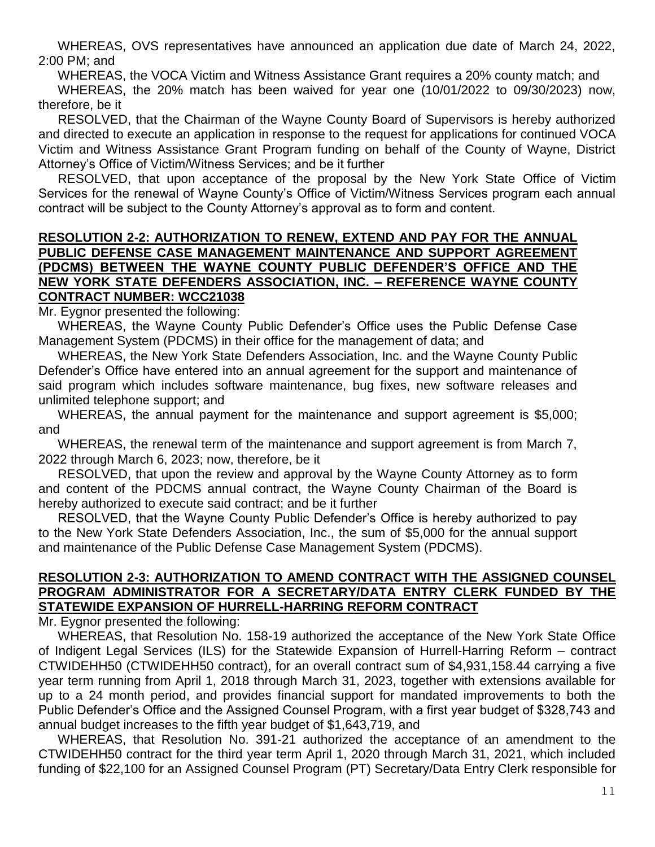WHEREAS, OVS representatives have announced an application due date of March 24, 2022, 2:00 PM; and

WHEREAS, the VOCA Victim and Witness Assistance Grant requires a 20% county match; and

WHEREAS, the 20% match has been waived for year one (10/01/2022 to 09/30/2023) now, therefore, be it

RESOLVED, that the Chairman of the Wayne County Board of Supervisors is hereby authorized and directed to execute an application in response to the request for applications for continued VOCA Victim and Witness Assistance Grant Program funding on behalf of the County of Wayne, District Attorney's Office of Victim/Witness Services; and be it further

RESOLVED, that upon acceptance of the proposal by the New York State Office of Victim Services for the renewal of Wayne County's Office of Victim/Witness Services program each annual contract will be subject to the County Attorney's approval as to form and content.

#### **RESOLUTION 2-2: AUTHORIZATION TO RENEW, EXTEND AND PAY FOR THE ANNUAL PUBLIC DEFENSE CASE MANAGEMENT MAINTENANCE AND SUPPORT AGREEMENT (PDCMS) BETWEEN THE WAYNE COUNTY PUBLIC DEFENDER'S OFFICE AND THE NEW YORK STATE DEFENDERS ASSOCIATION, INC. – REFERENCE WAYNE COUNTY CONTRACT NUMBER: WCC21038**

Mr. Eygnor presented the following:

WHEREAS, the Wayne County Public Defender's Office uses the Public Defense Case Management System (PDCMS) in their office for the management of data; and

WHEREAS, the New York State Defenders Association, Inc. and the Wayne County Public Defender's Office have entered into an annual agreement for the support and maintenance of said program which includes software maintenance, bug fixes, new software releases and unlimited telephone support; and

WHEREAS, the annual payment for the maintenance and support agreement is \$5,000; and

WHEREAS, the renewal term of the maintenance and support agreement is from March 7, 2022 through March 6, 2023; now, therefore, be it

RESOLVED, that upon the review and approval by the Wayne County Attorney as to form and content of the PDCMS annual contract, the Wayne County Chairman of the Board is hereby authorized to execute said contract; and be it further

RESOLVED, that the Wayne County Public Defender's Office is hereby authorized to pay to the New York State Defenders Association, Inc., the sum of \$5,000 for the annual support and maintenance of the Public Defense Case Management System (PDCMS).

#### **RESOLUTION 2-3: AUTHORIZATION TO AMEND CONTRACT WITH THE ASSIGNED COUNSEL PROGRAM ADMINISTRATOR FOR A SECRETARY/DATA ENTRY CLERK FUNDED BY THE STATEWIDE EXPANSION OF HURRELL-HARRING REFORM CONTRACT**

Mr. Eygnor presented the following:

WHEREAS, that Resolution No. 158-19 authorized the acceptance of the New York State Office of Indigent Legal Services (ILS) for the Statewide Expansion of Hurrell-Harring Reform – contract CTWIDEHH50 (CTWIDEHH50 contract), for an overall contract sum of \$4,931,158.44 carrying a five year term running from April 1, 2018 through March 31, 2023, together with extensions available for up to a 24 month period, and provides financial support for mandated improvements to both the Public Defender's Office and the Assigned Counsel Program, with a first year budget of \$328,743 and annual budget increases to the fifth year budget of \$1,643,719, and

WHEREAS, that Resolution No. 391-21 authorized the acceptance of an amendment to the CTWIDEHH50 contract for the third year term April 1, 2020 through March 31, 2021, which included funding of \$22,100 for an Assigned Counsel Program (PT) Secretary/Data Entry Clerk responsible for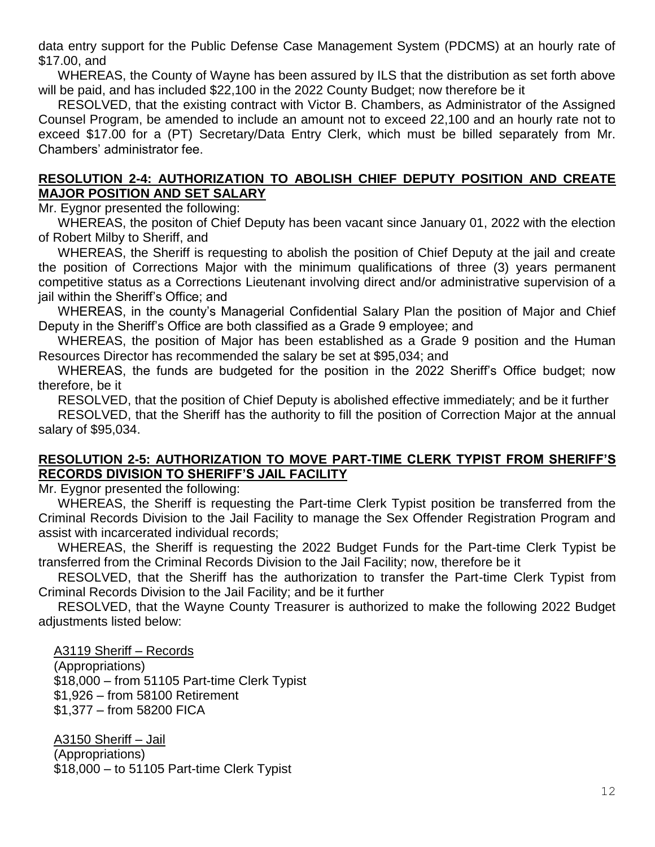data entry support for the Public Defense Case Management System (PDCMS) at an hourly rate of \$17.00, and

WHEREAS, the County of Wayne has been assured by ILS that the distribution as set forth above will be paid, and has included \$22,100 in the 2022 County Budget; now therefore be it

RESOLVED, that the existing contract with Victor B. Chambers, as Administrator of the Assigned Counsel Program, be amended to include an amount not to exceed 22,100 and an hourly rate not to exceed \$17.00 for a (PT) Secretary/Data Entry Clerk, which must be billed separately from Mr. Chambers' administrator fee.

### **RESOLUTION 2-4: AUTHORIZATION TO ABOLISH CHIEF DEPUTY POSITION AND CREATE MAJOR POSITION AND SET SALARY**

Mr. Eygnor presented the following:

WHEREAS, the positon of Chief Deputy has been vacant since January 01, 2022 with the election of Robert Milby to Sheriff, and

WHEREAS, the Sheriff is requesting to abolish the position of Chief Deputy at the jail and create the position of Corrections Major with the minimum qualifications of three (3) years permanent competitive status as a Corrections Lieutenant involving direct and/or administrative supervision of a jail within the Sheriff's Office; and

WHEREAS, in the county's Managerial Confidential Salary Plan the position of Major and Chief Deputy in the Sheriff's Office are both classified as a Grade 9 employee; and

WHEREAS, the position of Major has been established as a Grade 9 position and the Human Resources Director has recommended the salary be set at \$95,034; and

WHEREAS, the funds are budgeted for the position in the 2022 Sheriff's Office budget; now therefore, be it

RESOLVED, that the position of Chief Deputy is abolished effective immediately; and be it further RESOLVED, that the Sheriff has the authority to fill the position of Correction Major at the annual salary of \$95,034.

#### **RESOLUTION 2-5: AUTHORIZATION TO MOVE PART-TIME CLERK TYPIST FROM SHERIFF'S RECORDS DIVISION TO SHERIFF'S JAIL FACILITY**

Mr. Eygnor presented the following:

WHEREAS, the Sheriff is requesting the Part-time Clerk Typist position be transferred from the Criminal Records Division to the Jail Facility to manage the Sex Offender Registration Program and assist with incarcerated individual records;

WHEREAS, the Sheriff is requesting the 2022 Budget Funds for the Part-time Clerk Typist be transferred from the Criminal Records Division to the Jail Facility; now, therefore be it

RESOLVED, that the Sheriff has the authorization to transfer the Part-time Clerk Typist from Criminal Records Division to the Jail Facility; and be it further

RESOLVED, that the Wayne County Treasurer is authorized to make the following 2022 Budget adjustments listed below:

A3119 Sheriff – Records

(Appropriations) \$18,000 – from 51105 Part-time Clerk Typist \$1,926 – from 58100 Retirement \$1,377 – from 58200 FICA

A3150 Sheriff – Jail (Appropriations) \$18,000 – to 51105 Part-time Clerk Typist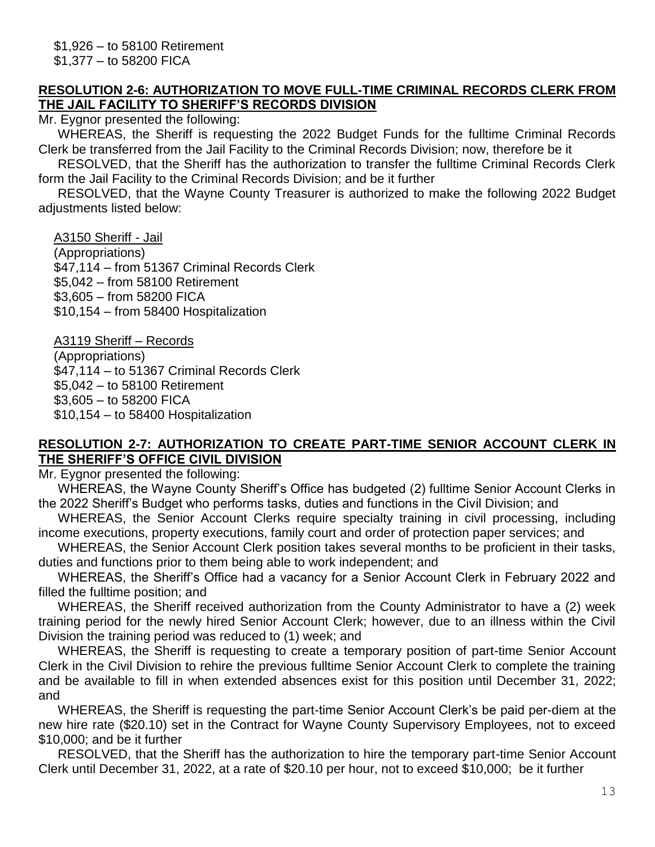#### **RESOLUTION 2-6: AUTHORIZATION TO MOVE FULL-TIME CRIMINAL RECORDS CLERK FROM THE JAIL FACILITY TO SHERIFF'S RECORDS DIVISION**

Mr. Eygnor presented the following:

WHEREAS, the Sheriff is requesting the 2022 Budget Funds for the fulltime Criminal Records Clerk be transferred from the Jail Facility to the Criminal Records Division; now, therefore be it

RESOLVED, that the Sheriff has the authorization to transfer the fulltime Criminal Records Clerk form the Jail Facility to the Criminal Records Division; and be it further

RESOLVED, that the Wayne County Treasurer is authorized to make the following 2022 Budget adiustments listed below:

A3150 Sheriff - Jail (Appropriations) \$47,114 – from 51367 Criminal Records Clerk \$5,042 – from 58100 Retirement \$3,605 – from 58200 FICA \$10,154 – from 58400 Hospitalization

A3119 Sheriff – Records (Appropriations) \$47,114 – to 51367 Criminal Records Clerk \$5,042 – to 58100 Retirement \$3,605 – to 58200 FICA \$10,154 – to 58400 Hospitalization

#### **RESOLUTION 2-7: AUTHORIZATION TO CREATE PART-TIME SENIOR ACCOUNT CLERK IN THE SHERIFF'S OFFICE CIVIL DIVISION**

Mr. Eygnor presented the following:

WHEREAS, the Wayne County Sheriff's Office has budgeted (2) fulltime Senior Account Clerks in the 2022 Sheriff's Budget who performs tasks, duties and functions in the Civil Division; and

WHEREAS, the Senior Account Clerks require specialty training in civil processing, including income executions, property executions, family court and order of protection paper services; and

WHEREAS, the Senior Account Clerk position takes several months to be proficient in their tasks, duties and functions prior to them being able to work independent; and

WHEREAS, the Sheriff's Office had a vacancy for a Senior Account Clerk in February 2022 and filled the fulltime position; and

WHEREAS, the Sheriff received authorization from the County Administrator to have a (2) week training period for the newly hired Senior Account Clerk; however, due to an illness within the Civil Division the training period was reduced to (1) week; and

WHEREAS, the Sheriff is requesting to create a temporary position of part-time Senior Account Clerk in the Civil Division to rehire the previous fulltime Senior Account Clerk to complete the training and be available to fill in when extended absences exist for this position until December 31, 2022; and

WHEREAS, the Sheriff is requesting the part-time Senior Account Clerk's be paid per-diem at the new hire rate (\$20.10) set in the Contract for Wayne County Supervisory Employees, not to exceed \$10,000; and be it further

RESOLVED, that the Sheriff has the authorization to hire the temporary part-time Senior Account Clerk until December 31, 2022, at a rate of \$20.10 per hour, not to exceed \$10,000; be it further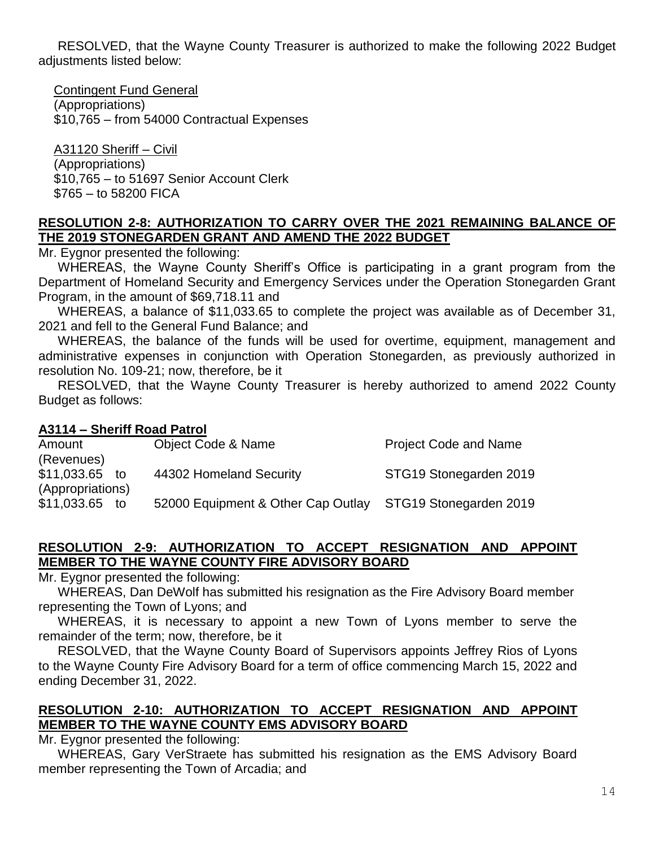RESOLVED, that the Wayne County Treasurer is authorized to make the following 2022 Budget adjustments listed below:

Contingent Fund General (Appropriations) \$10,765 – from 54000 Contractual Expenses

A31120 Sheriff – Civil (Appropriations) \$10,765 – to 51697 Senior Account Clerk \$765 – to 58200 FICA

#### **RESOLUTION 2-8: AUTHORIZATION TO CARRY OVER THE 2021 REMAINING BALANCE OF THE 2019 STONEGARDEN GRANT AND AMEND THE 2022 BUDGET**

Mr. Eygnor presented the following:

WHEREAS, the Wayne County Sheriff's Office is participating in a grant program from the Department of Homeland Security and Emergency Services under the Operation Stonegarden Grant Program, in the amount of \$69,718.11 and

WHEREAS, a balance of \$11,033.65 to complete the project was available as of December 31, 2021 and fell to the General Fund Balance; and

WHEREAS, the balance of the funds will be used for overtime, equipment, management and administrative expenses in conjunction with Operation Stonegarden, as previously authorized in resolution No. 109-21; now, therefore, be it

RESOLVED, that the Wayne County Treasurer is hereby authorized to amend 2022 County Budget as follows:

### **A3114 – Sheriff Road Patrol**

| Amount           |    | <b>Object Code &amp; Name</b>      | <b>Project Code and Name</b> |
|------------------|----|------------------------------------|------------------------------|
| (Revenues)       |    |                                    |                              |
| \$11,033.65      | to | 44302 Homeland Security            | STG19 Stonegarden 2019       |
| (Appropriations) |    |                                    |                              |
| \$11,033.65      | to | 52000 Equipment & Other Cap Outlay | STG19 Stonegarden 2019       |

#### **RESOLUTION 2-9: AUTHORIZATION TO ACCEPT RESIGNATION AND APPOINT MEMBER TO THE WAYNE COUNTY FIRE ADVISORY BOARD**

Mr. Eygnor presented the following:

WHEREAS, Dan DeWolf has submitted his resignation as the Fire Advisory Board member representing the Town of Lyons; and

WHEREAS, it is necessary to appoint a new Town of Lyons member to serve the remainder of the term; now, therefore, be it

RESOLVED, that the Wayne County Board of Supervisors appoints Jeffrey Rios of Lyons to the Wayne County Fire Advisory Board for a term of office commencing March 15, 2022 and ending December 31, 2022.

### **RESOLUTION 2-10: AUTHORIZATION TO ACCEPT RESIGNATION AND APPOINT MEMBER TO THE WAYNE COUNTY EMS ADVISORY BOARD**

Mr. Eygnor presented the following:

WHEREAS, Gary VerStraete has submitted his resignation as the EMS Advisory Board member representing the Town of Arcadia; and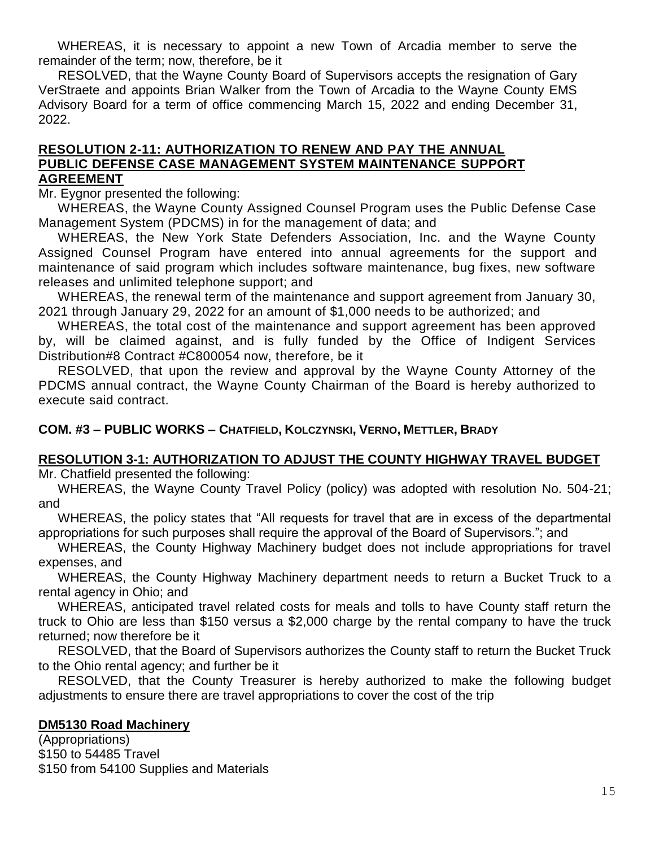WHEREAS, it is necessary to appoint a new Town of Arcadia member to serve the remainder of the term; now, therefore, be it

RESOLVED, that the Wayne County Board of Supervisors accepts the resignation of Gary VerStraete and appoints Brian Walker from the Town of Arcadia to the Wayne County EMS Advisory Board for a term of office commencing March 15, 2022 and ending December 31, 2022.

#### **RESOLUTION 2-11: AUTHORIZATION TO RENEW AND PAY THE ANNUAL PUBLIC DEFENSE CASE MANAGEMENT SYSTEM MAINTENANCE SUPPORT AGREEMENT**

Mr. Eygnor presented the following:

WHEREAS, the Wayne County Assigned Counsel Program uses the Public Defense Case Management System (PDCMS) in for the management of data; and

WHEREAS, the New York State Defenders Association, Inc. and the Wayne County Assigned Counsel Program have entered into annual agreements for the support and maintenance of said program which includes software maintenance, bug fixes, new software releases and unlimited telephone support; and

WHEREAS, the renewal term of the maintenance and support agreement from January 30, 2021 through January 29, 2022 for an amount of \$1,000 needs to be authorized; and

WHEREAS, the total cost of the maintenance and support agreement has been approved by, will be claimed against, and is fully funded by the Office of Indigent Services Distribution#8 Contract #C800054 now, therefore, be it

RESOLVED, that upon the review and approval by the Wayne County Attorney of the PDCMS annual contract, the Wayne County Chairman of the Board is hereby authorized to execute said contract.

#### **COM. #3 – PUBLIC WORKS – CHATFIELD, KOLCZYNSKI, VERNO, METTLER, BRADY**

### **RESOLUTION 3-1: AUTHORIZATION TO ADJUST THE COUNTY HIGHWAY TRAVEL BUDGET**

Mr. Chatfield presented the following:

WHEREAS, the Wayne County Travel Policy (policy) was adopted with resolution No. 504-21; and

WHEREAS, the policy states that "All requests for travel that are in excess of the departmental appropriations for such purposes shall require the approval of the Board of Supervisors."; and

WHEREAS, the County Highway Machinery budget does not include appropriations for travel expenses, and

WHEREAS, the County Highway Machinery department needs to return a Bucket Truck to a rental agency in Ohio; and

WHEREAS, anticipated travel related costs for meals and tolls to have County staff return the truck to Ohio are less than \$150 versus a \$2,000 charge by the rental company to have the truck returned; now therefore be it

RESOLVED, that the Board of Supervisors authorizes the County staff to return the Bucket Truck to the Ohio rental agency; and further be it

RESOLVED, that the County Treasurer is hereby authorized to make the following budget adjustments to ensure there are travel appropriations to cover the cost of the trip

#### **DM5130 Road Machinery**

(Appropriations) \$150 to 54485 Travel \$150 from 54100 Supplies and Materials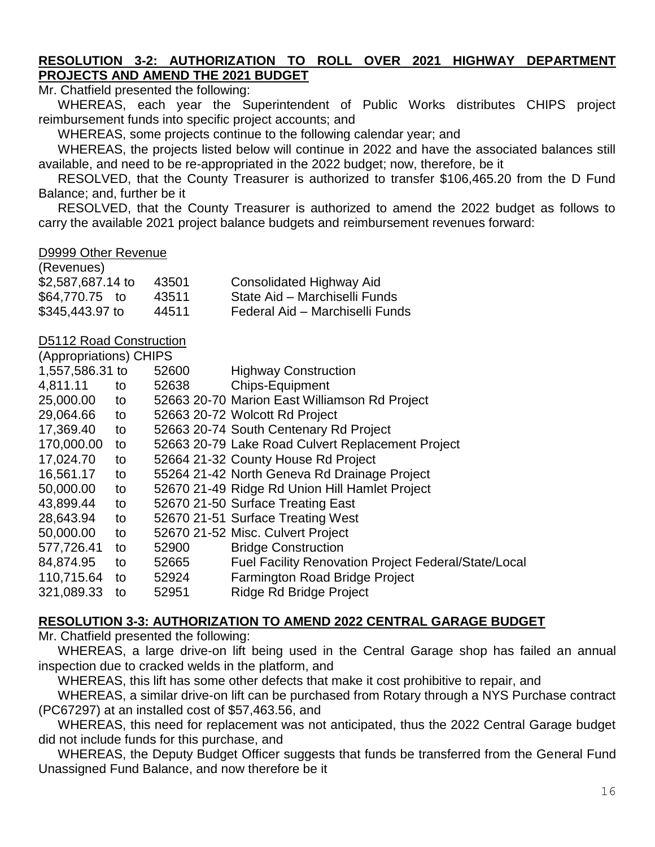### **RESOLUTION 3-2: AUTHORIZATION TO ROLL OVER 2021 HIGHWAY DEPARTMENT PROJECTS AND AMEND THE 2021 BUDGET**

Mr. Chatfield presented the following:

WHEREAS, each year the Superintendent of Public Works distributes CHIPS project reimbursement funds into specific project accounts; and

WHEREAS, some projects continue to the following calendar year; and

WHEREAS, the projects listed below will continue in 2022 and have the associated balances still available, and need to be re-appropriated in the 2022 budget; now, therefore, be it

RESOLVED, that the County Treasurer is authorized to transfer \$106,465.20 from the D Fund Balance; and, further be it

RESOLVED, that the County Treasurer is authorized to amend the 2022 budget as follows to carry the available 2021 project balance budgets and reimbursement revenues forward:

#### D9999 Other Revenue

| (Revenues)        |       |                                 |
|-------------------|-------|---------------------------------|
| \$2,587,687.14 to | 43501 | Consolidated Highway Aid        |
| \$64,770.75 to    | 43511 | State Aid – Marchiselli Funds   |
| \$345,443.97 to   | 44511 | Federal Aid - Marchiselli Funds |

#### D5112 Road Construction (Appropriations) CHIPS

| <b>(Appropriations) UNIFS</b> |    |       |                                                             |
|-------------------------------|----|-------|-------------------------------------------------------------|
| 1,557,586.31 to               |    | 52600 | <b>Highway Construction</b>                                 |
| 4,811.11                      | to | 52638 | <b>Chips-Equipment</b>                                      |
| 25,000.00                     | to |       | 52663 20-70 Marion East Williamson Rd Project               |
| 29,064.66                     | to |       | 52663 20-72 Wolcott Rd Project                              |
| 17,369.40                     | to |       | 52663 20-74 South Centenary Rd Project                      |
| 170,000.00                    | to |       | 52663 20-79 Lake Road Culvert Replacement Project           |
| 17,024.70                     | to |       | 52664 21-32 County House Rd Project                         |
| 16,561.17                     | to |       | 55264 21-42 North Geneva Rd Drainage Project                |
| 50,000.00                     | to |       | 52670 21-49 Ridge Rd Union Hill Hamlet Project              |
| 43,899.44                     | to |       | 52670 21-50 Surface Treating East                           |
| 28,643.94                     | to |       | 52670 21-51 Surface Treating West                           |
| 50,000.00                     | to |       | 52670 21-52 Misc. Culvert Project                           |
| 577,726.41                    | to | 52900 | <b>Bridge Construction</b>                                  |
| 84,874.95                     | to | 52665 | <b>Fuel Facility Renovation Project Federal/State/Local</b> |
| 110,715.64                    | to | 52924 | Farmington Road Bridge Project                              |
| 321,089.33                    | to | 52951 | Ridge Rd Bridge Project                                     |
|                               |    |       |                                                             |

#### **RESOLUTION 3-3: AUTHORIZATION TO AMEND 2022 CENTRAL GARAGE BUDGET**

Mr. Chatfield presented the following:

WHEREAS, a large drive-on lift being used in the Central Garage shop has failed an annual inspection due to cracked welds in the platform, and

WHEREAS, this lift has some other defects that make it cost prohibitive to repair, and

WHEREAS, a similar drive-on lift can be purchased from Rotary through a NYS Purchase contract (PC67297) at an installed cost of \$57,463.56, and

WHEREAS, this need for replacement was not anticipated, thus the 2022 Central Garage budget did not include funds for this purchase, and

WHEREAS, the Deputy Budget Officer suggests that funds be transferred from the General Fund Unassigned Fund Balance, and now therefore be it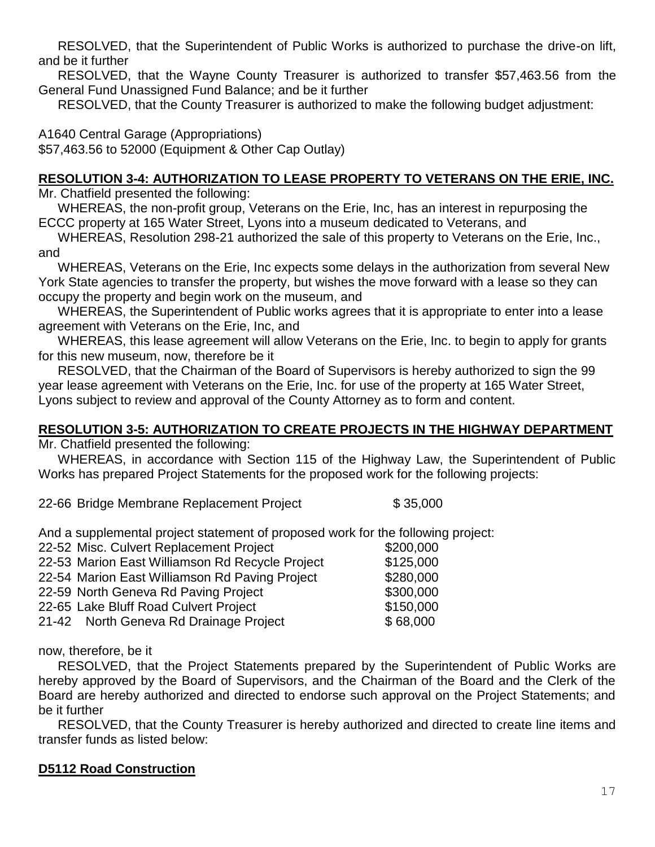RESOLVED, that the Superintendent of Public Works is authorized to purchase the drive-on lift, and be it further

RESOLVED, that the Wayne County Treasurer is authorized to transfer \$57,463.56 from the General Fund Unassigned Fund Balance; and be it further

RESOLVED, that the County Treasurer is authorized to make the following budget adjustment:

A1640 Central Garage (Appropriations) \$57,463.56 to 52000 (Equipment & Other Cap Outlay)

### **RESOLUTION 3-4: AUTHORIZATION TO LEASE PROPERTY TO VETERANS ON THE ERIE, INC.**

Mr. Chatfield presented the following:

WHEREAS, the non-profit group, Veterans on the Erie, Inc, has an interest in repurposing the ECCC property at 165 Water Street, Lyons into a museum dedicated to Veterans, and

WHEREAS, Resolution 298-21 authorized the sale of this property to Veterans on the Erie, Inc., and

WHEREAS, Veterans on the Erie, Inc expects some delays in the authorization from several New York State agencies to transfer the property, but wishes the move forward with a lease so they can occupy the property and begin work on the museum, and

WHEREAS, the Superintendent of Public works agrees that it is appropriate to enter into a lease agreement with Veterans on the Erie, Inc, and

WHEREAS, this lease agreement will allow Veterans on the Erie, Inc. to begin to apply for grants for this new museum, now, therefore be it

RESOLVED, that the Chairman of the Board of Supervisors is hereby authorized to sign the 99 year lease agreement with Veterans on the Erie, Inc. for use of the property at 165 Water Street, Lyons subject to review and approval of the County Attorney as to form and content.

### **RESOLUTION 3-5: AUTHORIZATION TO CREATE PROJECTS IN THE HIGHWAY DEPARTMENT**

Mr. Chatfield presented the following:

WHEREAS, in accordance with Section 115 of the Highway Law, the Superintendent of Public Works has prepared Project Statements for the proposed work for the following projects:

22-66 Bridge Membrane Replacement Project \$ 35,000

And a supplemental project statement of proposed work for the following project:

| 22-52 Misc. Culvert Replacement Project         | \$200,000 |
|-------------------------------------------------|-----------|
| 22-53 Marion East Williamson Rd Recycle Project | \$125,000 |
| 22-54 Marion East Williamson Rd Paving Project  | \$280,000 |
| 22-59 North Geneva Rd Paving Project            | \$300,000 |
| 22-65 Lake Bluff Road Culvert Project           | \$150,000 |
| 21-42 North Geneva Rd Drainage Project          | \$68,000  |
|                                                 |           |

now, therefore, be it

RESOLVED, that the Project Statements prepared by the Superintendent of Public Works are hereby approved by the Board of Supervisors, and the Chairman of the Board and the Clerk of the Board are hereby authorized and directed to endorse such approval on the Project Statements; and be it further

RESOLVED, that the County Treasurer is hereby authorized and directed to create line items and transfer funds as listed below:

### **D5112 Road Construction**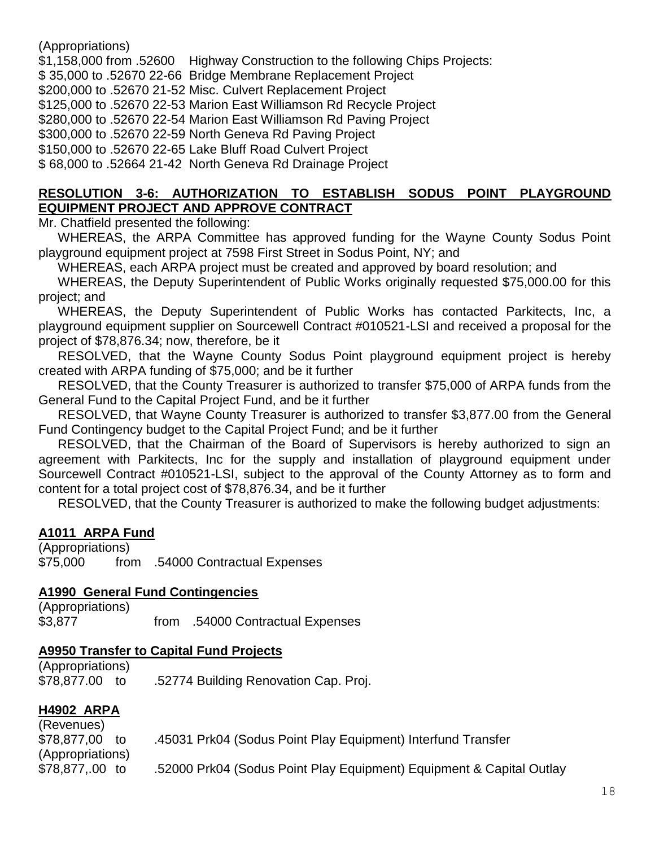(Appropriations)

\$1,158,000 from .52600 Highway Construction to the following Chips Projects: \$ 35,000 to .52670 22-66 Bridge Membrane Replacement Project \$200,000 to .52670 21-52 Misc. Culvert Replacement Project \$125,000 to .52670 22-53 Marion East Williamson Rd Recycle Project \$280,000 to .52670 22-54 Marion East Williamson Rd Paving Project \$300,000 to .52670 22-59 North Geneva Rd Paving Project \$150,000 to .52670 22-65 Lake Bluff Road Culvert Project \$ 68,000 to .52664 21-42 North Geneva Rd Drainage Project

#### **RESOLUTION 3-6: AUTHORIZATION TO ESTABLISH SODUS POINT PLAYGROUND EQUIPMENT PROJECT AND APPROVE CONTRACT**

Mr. Chatfield presented the following:

WHEREAS, the ARPA Committee has approved funding for the Wayne County Sodus Point playground equipment project at 7598 First Street in Sodus Point, NY; and

WHEREAS, each ARPA project must be created and approved by board resolution; and

WHEREAS, the Deputy Superintendent of Public Works originally requested \$75,000.00 for this project; and

WHEREAS, the Deputy Superintendent of Public Works has contacted Parkitects, Inc, a playground equipment supplier on Sourcewell Contract #010521-LSI and received a proposal for the project of \$78,876.34; now, therefore, be it

RESOLVED, that the Wayne County Sodus Point playground equipment project is hereby created with ARPA funding of \$75,000; and be it further

RESOLVED, that the County Treasurer is authorized to transfer \$75,000 of ARPA funds from the General Fund to the Capital Project Fund, and be it further

RESOLVED, that Wayne County Treasurer is authorized to transfer \$3,877.00 from the General Fund Contingency budget to the Capital Project Fund; and be it further

RESOLVED, that the Chairman of the Board of Supervisors is hereby authorized to sign an agreement with Parkitects, Inc for the supply and installation of playground equipment under Sourcewell Contract #010521-LSI, subject to the approval of the County Attorney as to form and content for a total project cost of \$78,876.34, and be it further

RESOLVED, that the County Treasurer is authorized to make the following budget adjustments:

### **A1011 ARPA Fund**

(Appropriations) \$75,000 from .54000 Contractual Expenses

#### **A1990 General Fund Contingencies**

(Appropriations) \$3,877 from .54000 Contractual Expenses

#### **A9950 Transfer to Capital Fund Projects**

(Appropriations) \$78,877.00 to .52774 Building Renovation Cap. Proj.

### **H4902 ARPA**

| (Revenues)       |                                                                      |
|------------------|----------------------------------------------------------------------|
| \$78,877,00 to   | .45031 Prk04 (Sodus Point Play Equipment) Interfund Transfer         |
| (Appropriations) |                                                                      |
| \$78,877,.00 to  | .52000 Prk04 (Sodus Point Play Equipment) Equipment & Capital Outlay |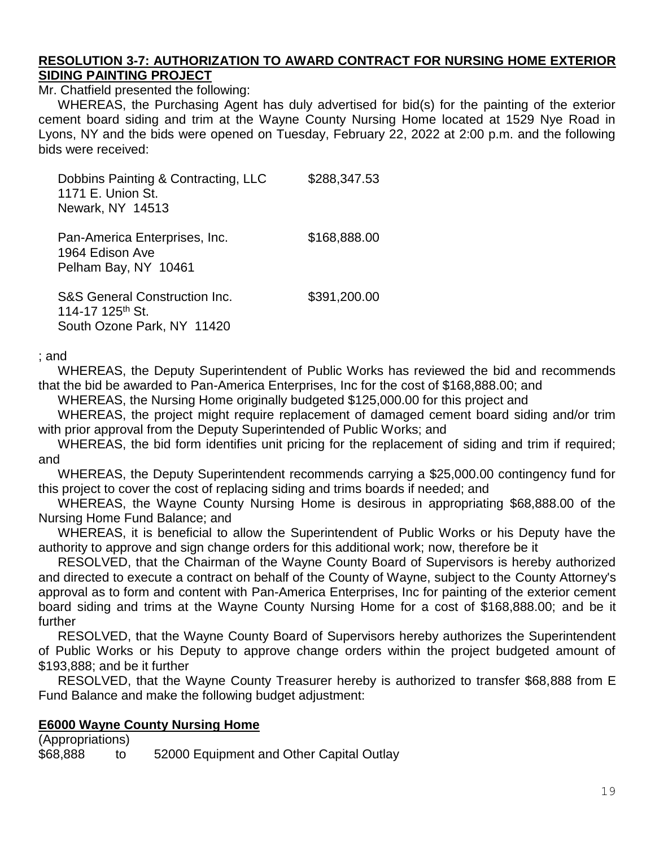#### **RESOLUTION 3-7: AUTHORIZATION TO AWARD CONTRACT FOR NURSING HOME EXTERIOR SIDING PAINTING PROJECT**

Mr. Chatfield presented the following:

WHEREAS, the Purchasing Agent has duly advertised for bid(s) for the painting of the exterior cement board siding and trim at the Wayne County Nursing Home located at 1529 Nye Road in Lyons, NY and the bids were opened on Tuesday, February 22, 2022 at 2:00 p.m. and the following bids were received:

Dobbins Painting & Contracting, LLC \$288,347.53 1171 E. Union St. Newark, NY 14513 Pan-America Enterprises, Inc. \$168,888.00 1964 Edison Ave Pelham Bay, NY 10461 S&S General Construction Inc. \$391,200.00 114-17 125<sup>th</sup> St.

South Ozone Park, NY 11420

; and

WHEREAS, the Deputy Superintendent of Public Works has reviewed the bid and recommends that the bid be awarded to Pan-America Enterprises, Inc for the cost of \$168,888.00; and

WHEREAS, the Nursing Home originally budgeted \$125,000.00 for this project and

WHEREAS, the project might require replacement of damaged cement board siding and/or trim with prior approval from the Deputy Superintended of Public Works; and

WHEREAS, the bid form identifies unit pricing for the replacement of siding and trim if required; and

WHEREAS, the Deputy Superintendent recommends carrying a \$25,000.00 contingency fund for this project to cover the cost of replacing siding and trims boards if needed; and

WHEREAS, the Wayne County Nursing Home is desirous in appropriating \$68,888.00 of the Nursing Home Fund Balance; and

WHEREAS, it is beneficial to allow the Superintendent of Public Works or his Deputy have the authority to approve and sign change orders for this additional work; now, therefore be it

RESOLVED, that the Chairman of the Wayne County Board of Supervisors is hereby authorized and directed to execute a contract on behalf of the County of Wayne, subject to the County Attorney's approval as to form and content with Pan-America Enterprises, Inc for painting of the exterior cement board siding and trims at the Wayne County Nursing Home for a cost of \$168,888.00; and be it further

RESOLVED, that the Wayne County Board of Supervisors hereby authorizes the Superintendent of Public Works or his Deputy to approve change orders within the project budgeted amount of \$193,888; and be it further

RESOLVED, that the Wayne County Treasurer hereby is authorized to transfer \$68,888 from E Fund Balance and make the following budget adjustment:

#### **E6000 Wayne County Nursing Home**

(Appropriations) \$68,888 to 52000 Equipment and Other Capital Outlay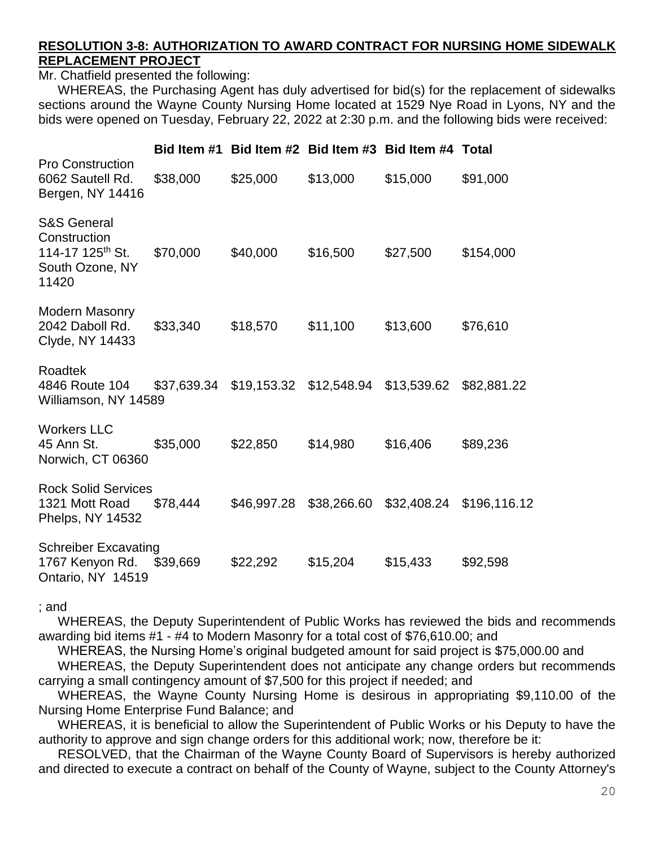#### **RESOLUTION 3-8: AUTHORIZATION TO AWARD CONTRACT FOR NURSING HOME SIDEWALK REPLACEMENT PROJECT**

Mr. Chatfield presented the following:

WHEREAS, the Purchasing Agent has duly advertised for bid(s) for the replacement of sidewalks sections around the Wayne County Nursing Home located at 1529 Nye Road in Lyons, NY and the bids were opened on Tuesday, February 22, 2022 at 2:30 p.m. and the following bids were received:

|                                                                                                    |          |                                     |             | Bid Item #1 Bid Item #2 Bid Item #3 Bid Item #4 Total |                          |
|----------------------------------------------------------------------------------------------------|----------|-------------------------------------|-------------|-------------------------------------------------------|--------------------------|
| <b>Pro Construction</b><br>6062 Sautell Rd.<br>Bergen, NY 14416                                    | \$38,000 | \$25,000                            | \$13,000    | \$15,000                                              | \$91,000                 |
| <b>S&amp;S General</b><br>Construction<br>114-17 125 <sup>th</sup> St.<br>South Ozone, NY<br>11420 | \$70,000 | \$40,000                            | \$16,500    | \$27,500                                              | \$154,000                |
| <b>Modern Masonry</b><br>2042 Daboll Rd.<br>Clyde, NY 14433                                        | \$33,340 | \$18,570                            | \$11,100    | \$13,600                                              | \$76,610                 |
| Roadtek<br>4846 Route 104<br>Williamson, NY 14589                                                  |          | \$37,639.34 \$19,153.32 \$12,548.94 |             | \$13,539.62                                           | \$82,881.22              |
| <b>Workers LLC</b><br>45 Ann St.<br>Norwich, CT 06360                                              | \$35,000 | \$22,850                            | \$14,980    | \$16,406                                              | \$89,236                 |
| <b>Rock Solid Services</b><br>1321 Mott Road<br>Phelps, NY 14532                                   | \$78,444 | \$46,997.28                         | \$38,266.60 |                                                       | \$32,408.24 \$196,116.12 |
| <b>Schreiber Excavating</b><br>1767 Kenyon Rd.<br>Ontario, NY 14519                                | \$39,669 | \$22,292                            | \$15,204    | \$15,433                                              | \$92,598                 |

; and

WHEREAS, the Deputy Superintendent of Public Works has reviewed the bids and recommends awarding bid items #1 - #4 to Modern Masonry for a total cost of \$76,610.00; and

WHEREAS, the Nursing Home's original budgeted amount for said project is \$75,000.00 and

WHEREAS, the Deputy Superintendent does not anticipate any change orders but recommends carrying a small contingency amount of \$7,500 for this project if needed; and

WHEREAS, the Wayne County Nursing Home is desirous in appropriating \$9,110.00 of the Nursing Home Enterprise Fund Balance; and

WHEREAS, it is beneficial to allow the Superintendent of Public Works or his Deputy to have the authority to approve and sign change orders for this additional work; now, therefore be it:

RESOLVED, that the Chairman of the Wayne County Board of Supervisors is hereby authorized and directed to execute a contract on behalf of the County of Wayne, subject to the County Attorney's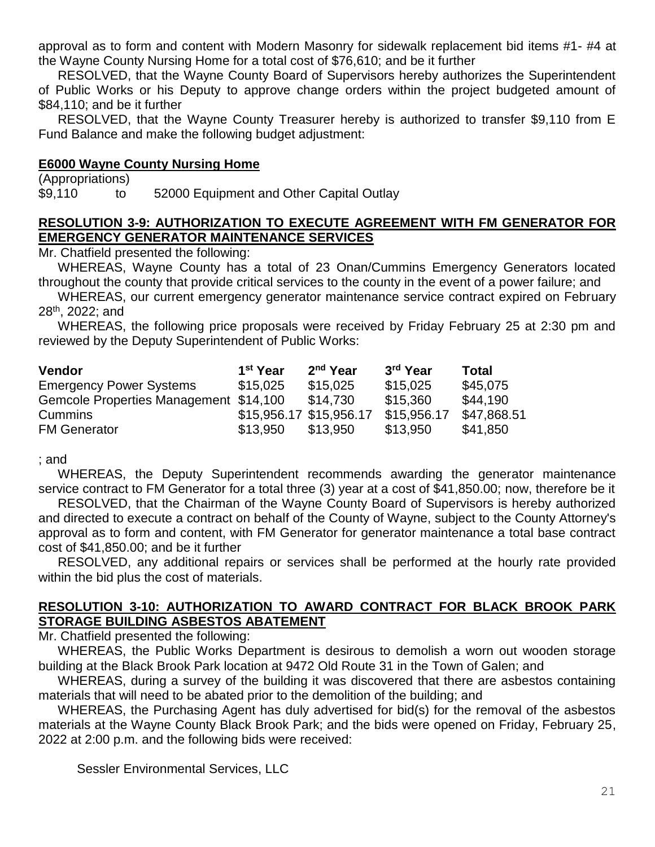approval as to form and content with Modern Masonry for sidewalk replacement bid items #1- #4 at the Wayne County Nursing Home for a total cost of \$76,610; and be it further

RESOLVED, that the Wayne County Board of Supervisors hereby authorizes the Superintendent of Public Works or his Deputy to approve change orders within the project budgeted amount of \$84,110; and be it further

RESOLVED, that the Wayne County Treasurer hereby is authorized to transfer \$9,110 from E Fund Balance and make the following budget adjustment:

#### **E6000 Wayne County Nursing Home**

(Appropriations) \$9,110 to 52000 Equipment and Other Capital Outlay

#### **RESOLUTION 3-9: AUTHORIZATION TO EXECUTE AGREEMENT WITH FM GENERATOR FOR EMERGENCY GENERATOR MAINTENANCE SERVICES**

Mr. Chatfield presented the following:

WHEREAS, Wayne County has a total of 23 Onan/Cummins Emergency Generators located throughout the county that provide critical services to the county in the event of a power failure; and

WHEREAS, our current emergency generator maintenance service contract expired on February 28th, 2022; and

WHEREAS, the following price proposals were received by Friday February 25 at 2:30 pm and reviewed by the Deputy Superintendent of Public Works:

| <b>Vendor</b>                          | 1 <sup>st</sup> Year    | 2 <sup>nd</sup> Year | 3 <sup>rd</sup> Year | Total       |
|----------------------------------------|-------------------------|----------------------|----------------------|-------------|
| <b>Emergency Power Systems</b>         | \$15,025                | \$15,025             | \$15,025             | \$45,075    |
| Gemcole Properties Management \$14,100 |                         | \$14,730             | \$15,360             | \$44.190    |
| <b>Cummins</b>                         | \$15,956.17 \$15,956.17 |                      | \$15,956.17          | \$47,868.51 |
| <b>FM Generator</b>                    | \$13,950                | \$13.950             | \$13,950             | \$41,850    |

; and

WHEREAS, the Deputy Superintendent recommends awarding the generator maintenance service contract to FM Generator for a total three (3) year at a cost of \$41,850.00; now, therefore be it

RESOLVED, that the Chairman of the Wayne County Board of Supervisors is hereby authorized and directed to execute a contract on behalf of the County of Wayne, subject to the County Attorney's approval as to form and content, with FM Generator for generator maintenance a total base contract cost of \$41,850.00; and be it further

RESOLVED, any additional repairs or services shall be performed at the hourly rate provided within the bid plus the cost of materials.

#### **RESOLUTION 3-10: AUTHORIZATION TO AWARD CONTRACT FOR BLACK BROOK PARK STORAGE BUILDING ASBESTOS ABATEMENT**

Mr. Chatfield presented the following:

WHEREAS, the Public Works Department is desirous to demolish a worn out wooden storage building at the Black Brook Park location at 9472 Old Route 31 in the Town of Galen; and

WHEREAS, during a survey of the building it was discovered that there are asbestos containing materials that will need to be abated prior to the demolition of the building; and

WHEREAS, the Purchasing Agent has duly advertised for bid(s) for the removal of the asbestos materials at the Wayne County Black Brook Park; and the bids were opened on Friday, February 25, 2022 at 2:00 p.m. and the following bids were received:

Sessler Environmental Services, LLC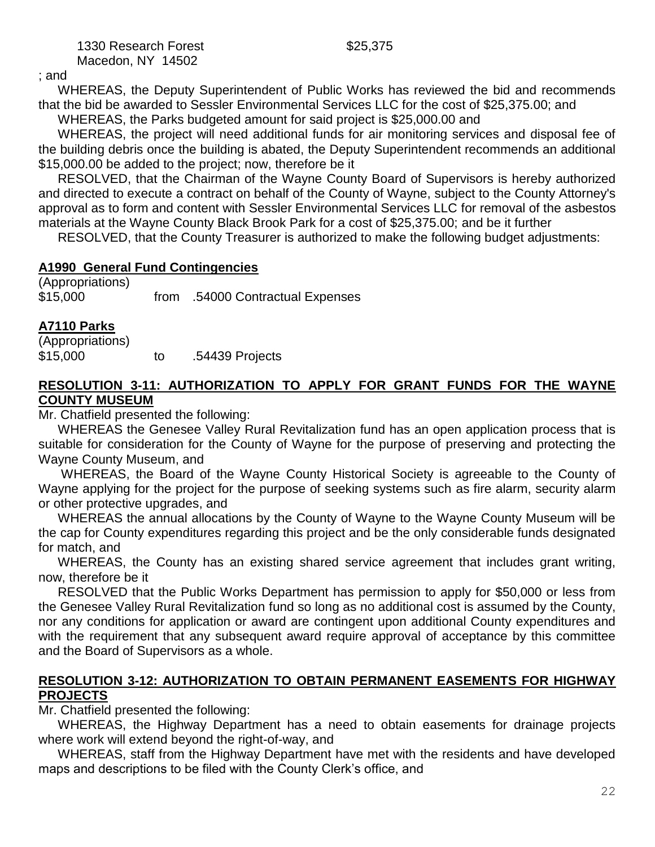1330 Research Forest \$25,375 Macedon, NY 14502

; and

WHEREAS, the Deputy Superintendent of Public Works has reviewed the bid and recommends that the bid be awarded to Sessler Environmental Services LLC for the cost of \$25,375.00; and

WHEREAS, the Parks budgeted amount for said project is \$25,000.00 and

WHEREAS, the project will need additional funds for air monitoring services and disposal fee of the building debris once the building is abated, the Deputy Superintendent recommends an additional \$15,000.00 be added to the project; now, therefore be it

RESOLVED, that the Chairman of the Wayne County Board of Supervisors is hereby authorized and directed to execute a contract on behalf of the County of Wayne, subject to the County Attorney's approval as to form and content with Sessler Environmental Services LLC for removal of the asbestos materials at the Wayne County Black Brook Park for a cost of \$25,375.00; and be it further

RESOLVED, that the County Treasurer is authorized to make the following budget adjustments:

## **A1990 General Fund Contingencies**

(Appropriations) \$15,000 from .54000 Contractual Expenses

## **A7110 Parks**

| (Appropriations) |    |                 |
|------------------|----|-----------------|
| \$15,000         | tο | .54439 Projects |

### **RESOLUTION 3-11: AUTHORIZATION TO APPLY FOR GRANT FUNDS FOR THE WAYNE COUNTY MUSEUM**

Mr. Chatfield presented the following:

WHEREAS the Genesee Valley Rural Revitalization fund has an open application process that is suitable for consideration for the County of Wayne for the purpose of preserving and protecting the Wayne County Museum, and

WHEREAS, the Board of the Wayne County Historical Society is agreeable to the County of Wayne applying for the project for the purpose of seeking systems such as fire alarm, security alarm or other protective upgrades, and

WHEREAS the annual allocations by the County of Wayne to the Wayne County Museum will be the cap for County expenditures regarding this project and be the only considerable funds designated for match, and

WHEREAS, the County has an existing shared service agreement that includes grant writing, now, therefore be it

RESOLVED that the Public Works Department has permission to apply for \$50,000 or less from the Genesee Valley Rural Revitalization fund so long as no additional cost is assumed by the County, nor any conditions for application or award are contingent upon additional County expenditures and with the requirement that any subsequent award require approval of acceptance by this committee and the Board of Supervisors as a whole.

### **RESOLUTION 3-12: AUTHORIZATION TO OBTAIN PERMANENT EASEMENTS FOR HIGHWAY PROJECTS**

Mr. Chatfield presented the following:

WHEREAS, the Highway Department has a need to obtain easements for drainage projects where work will extend beyond the right-of-way, and

WHEREAS, staff from the Highway Department have met with the residents and have developed maps and descriptions to be filed with the County Clerk's office, and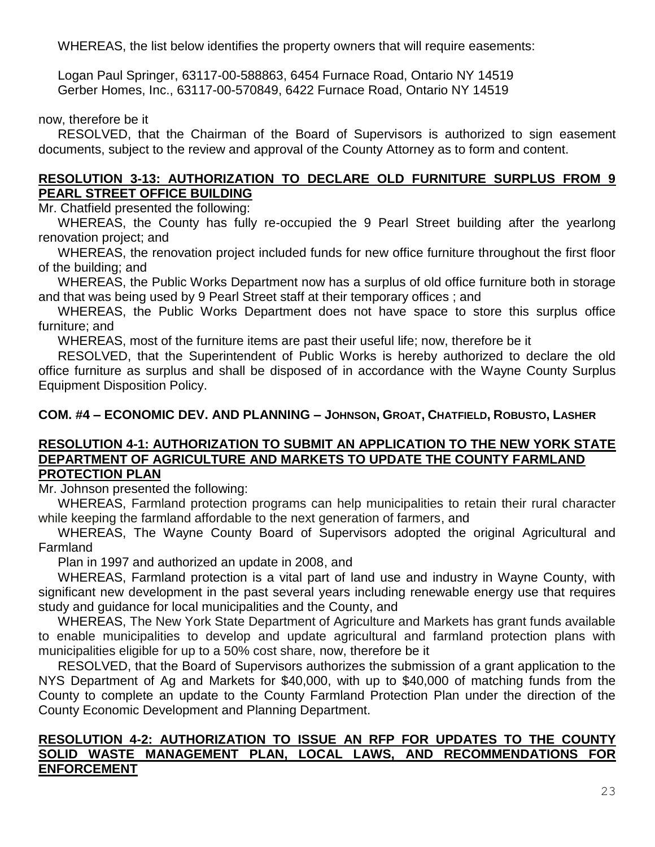WHEREAS, the list below identifies the property owners that will require easements:

Logan Paul Springer, 63117-00-588863, 6454 Furnace Road, Ontario NY 14519 Gerber Homes, Inc., 63117-00-570849, 6422 Furnace Road, Ontario NY 14519

#### now, therefore be it

RESOLVED, that the Chairman of the Board of Supervisors is authorized to sign easement documents, subject to the review and approval of the County Attorney as to form and content.

#### **RESOLUTION 3-13: AUTHORIZATION TO DECLARE OLD FURNITURE SURPLUS FROM 9 PEARL STREET OFFICE BUILDING**

Mr. Chatfield presented the following:

WHEREAS, the County has fully re-occupied the 9 Pearl Street building after the yearlong renovation project; and

WHEREAS, the renovation project included funds for new office furniture throughout the first floor of the building; and

WHEREAS, the Public Works Department now has a surplus of old office furniture both in storage and that was being used by 9 Pearl Street staff at their temporary offices ; and

WHEREAS, the Public Works Department does not have space to store this surplus office furniture; and

WHEREAS, most of the furniture items are past their useful life; now, therefore be it

RESOLVED, that the Superintendent of Public Works is hereby authorized to declare the old office furniture as surplus and shall be disposed of in accordance with the Wayne County Surplus Equipment Disposition Policy.

### **COM. #4 – ECONOMIC DEV. AND PLANNING – JOHNSON, GROAT, CHATFIELD, ROBUSTO, LASHER**

#### **RESOLUTION 4-1: AUTHORIZATION TO SUBMIT AN APPLICATION TO THE NEW YORK STATE DEPARTMENT OF AGRICULTURE AND MARKETS TO UPDATE THE COUNTY FARMLAND PROTECTION PLAN**

Mr. Johnson presented the following:

WHEREAS, Farmland protection programs can help municipalities to retain their rural character while keeping the farmland affordable to the next generation of farmers, and

WHEREAS, The Wayne County Board of Supervisors adopted the original Agricultural and **Farmland** 

Plan in 1997 and authorized an update in 2008, and

WHEREAS, Farmland protection is a vital part of land use and industry in Wayne County, with significant new development in the past several years including renewable energy use that requires study and guidance for local municipalities and the County, and

WHEREAS, The New York State Department of Agriculture and Markets has grant funds available to enable municipalities to develop and update agricultural and farmland protection plans with municipalities eligible for up to a 50% cost share, now, therefore be it

RESOLVED, that the Board of Supervisors authorizes the submission of a grant application to the NYS Department of Ag and Markets for \$40,000, with up to \$40,000 of matching funds from the County to complete an update to the County Farmland Protection Plan under the direction of the County Economic Development and Planning Department.

#### **RESOLUTION 4-2: AUTHORIZATION TO ISSUE AN RFP FOR UPDATES TO THE COUNTY SOLID WASTE MANAGEMENT PLAN, LOCAL LAWS, AND RECOMMENDATIONS FOR ENFORCEMENT**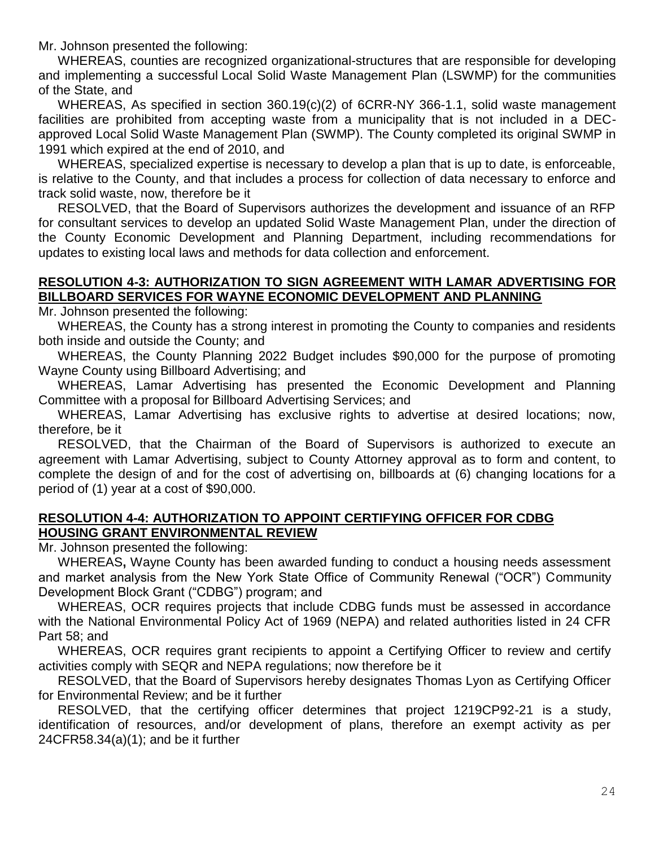Mr. Johnson presented the following:

WHEREAS, counties are recognized organizational-structures that are responsible for developing and implementing a successful Local Solid Waste Management Plan (LSWMP) for the communities of the State, and

WHEREAS, As specified in section 360.19(c)(2) of [6CRR-NY 366-1.1,](https://govt.westlaw.com/nycrr/Document/Id4d7dcd4dfe911e7aa6b9b71698a280b?viewType=FullText&originationContext=documenttoc&transitionType=CategoryPageItem&contextData=(sc.Default)) solid waste management facilities are prohibited from accepting waste from a municipality that is not included in a DECapproved Local Solid Waste Management Plan (SWMP). The County completed its original SWMP in 1991 which expired at the end of 2010, and

WHEREAS, specialized expertise is necessary to develop a plan that is up to date, is enforceable, is relative to the County, and that includes a process for collection of data necessary to enforce and track solid waste, now, therefore be it

RESOLVED, that the Board of Supervisors authorizes the development and issuance of an RFP for consultant services to develop an updated Solid Waste Management Plan, under the direction of the County Economic Development and Planning Department, including recommendations for updates to existing local laws and methods for data collection and enforcement.

### **RESOLUTION 4-3: AUTHORIZATION TO SIGN AGREEMENT WITH LAMAR ADVERTISING FOR BILLBOARD SERVICES FOR WAYNE ECONOMIC DEVELOPMENT AND PLANNING**

Mr. Johnson presented the following:

WHEREAS, the County has a strong interest in promoting the County to companies and residents both inside and outside the County; and

WHEREAS, the County Planning 2022 Budget includes \$90,000 for the purpose of promoting Wayne County using Billboard Advertising; and

WHEREAS, Lamar Advertising has presented the Economic Development and Planning Committee with a proposal for Billboard Advertising Services; and

WHEREAS, Lamar Advertising has exclusive rights to advertise at desired locations; now, therefore, be it

RESOLVED, that the Chairman of the Board of Supervisors is authorized to execute an agreement with Lamar Advertising, subject to County Attorney approval as to form and content, to complete the design of and for the cost of advertising on, billboards at (6) changing locations for a period of (1) year at a cost of \$90,000.

#### **RESOLUTION 4-4: AUTHORIZATION TO APPOINT CERTIFYING OFFICER FOR CDBG HOUSING GRANT ENVIRONMENTAL REVIEW**

Mr. Johnson presented the following:

WHEREAS**,** Wayne County has been awarded funding to conduct a housing needs assessment and market analysis from the New York State Office of Community Renewal ("OCR") Community Development Block Grant ("CDBG") program; and

WHEREAS, OCR requires projects that include CDBG funds must be assessed in accordance with the National Environmental Policy Act of 1969 (NEPA) and related authorities listed in 24 CFR Part 58; and

WHEREAS, OCR requires grant recipients to appoint a Certifying Officer to review and certify activities comply with SEQR and NEPA regulations; now therefore be it

RESOLVED, that the Board of Supervisors hereby designates Thomas Lyon as Certifying Officer for Environmental Review; and be it further

RESOLVED, that the certifying officer determines that project 1219CP92-21 is a study, identification of resources, and/or development of plans, therefore an exempt activity as per 24CFR58.34(a)(1); and be it further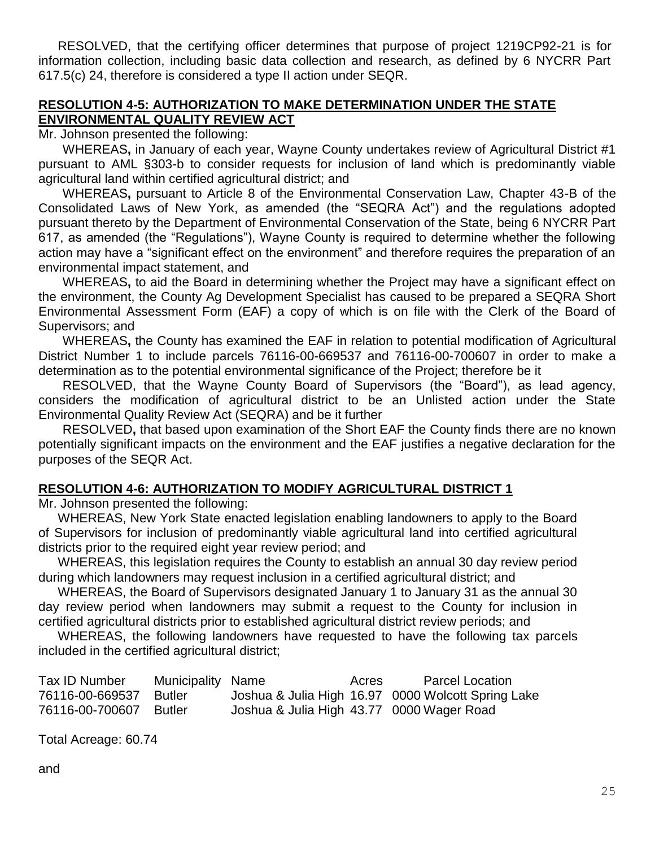RESOLVED, that the certifying officer determines that purpose of project 1219CP92-21 is for information collection, including basic data collection and research, as defined by 6 NYCRR Part 617.5(c) 24, therefore is considered a type II action under SEQR.

#### **RESOLUTION 4-5: AUTHORIZATION TO MAKE DETERMINATION UNDER THE STATE ENVIRONMENTAL QUALITY REVIEW ACT**

Mr. Johnson presented the following:

WHEREAS**,** in January of each year, Wayne County undertakes review of Agricultural District #1 pursuant to AML §303-b to consider requests for inclusion of land which is predominantly viable agricultural land within certified agricultural district; and

WHEREAS**,** pursuant to Article 8 of the Environmental Conservation Law, Chapter 43-B of the Consolidated Laws of New York, as amended (the "SEQRA Act") and the regulations adopted pursuant thereto by the Department of Environmental Conservation of the State, being 6 NYCRR Part 617, as amended (the "Regulations"), Wayne County is required to determine whether the following action may have a "significant effect on the environment" and therefore requires the preparation of an environmental impact statement, and

WHEREAS**,** to aid the Board in determining whether the Project may have a significant effect on the environment, the County Ag Development Specialist has caused to be prepared a SEQRA Short Environmental Assessment Form (EAF) a copy of which is on file with the Clerk of the Board of Supervisors; and

WHEREAS**,** the County has examined the EAF in relation to potential modification of Agricultural District Number 1 to include parcels 76116-00-669537 and 76116-00-700607 in order to make a determination as to the potential environmental significance of the Project; therefore be it

RESOLVED, that the Wayne County Board of Supervisors (the "Board"), as lead agency, considers the modification of agricultural district to be an Unlisted action under the State Environmental Quality Review Act (SEQRA) and be it further

RESOLVED**,** that based upon examination of the Short EAF the County finds there are no known potentially significant impacts on the environment and the EAF justifies a negative declaration for the purposes of the SEQR Act.

#### **RESOLUTION 4-6: AUTHORIZATION TO MODIFY AGRICULTURAL DISTRICT 1**

Mr. Johnson presented the following:

WHEREAS, New York State enacted legislation enabling landowners to apply to the Board of Supervisors for inclusion of predominantly viable agricultural land into certified agricultural districts prior to the required eight year review period; and

WHEREAS, this legislation requires the County to establish an annual 30 day review period during which landowners may request inclusion in a certified agricultural district; and

WHEREAS, the Board of Supervisors designated January 1 to January 31 as the annual 30 day review period when landowners may submit a request to the County for inclusion in certified agricultural districts prior to established agricultural district review periods; and

WHEREAS, the following landowners have requested to have the following tax parcels included in the certified agricultural district;

| Tax ID Number   | Municipality Name |                                           | Acres | <b>Parcel Location</b>                             |
|-----------------|-------------------|-------------------------------------------|-------|----------------------------------------------------|
| 76116-00-669537 | <b>Butler</b>     |                                           |       | Joshua & Julia High 16.97 0000 Wolcott Spring Lake |
| 76116-00-700607 | <b>Butler</b>     | Joshua & Julia High 43.77 0000 Wager Road |       |                                                    |

Total Acreage: 60.74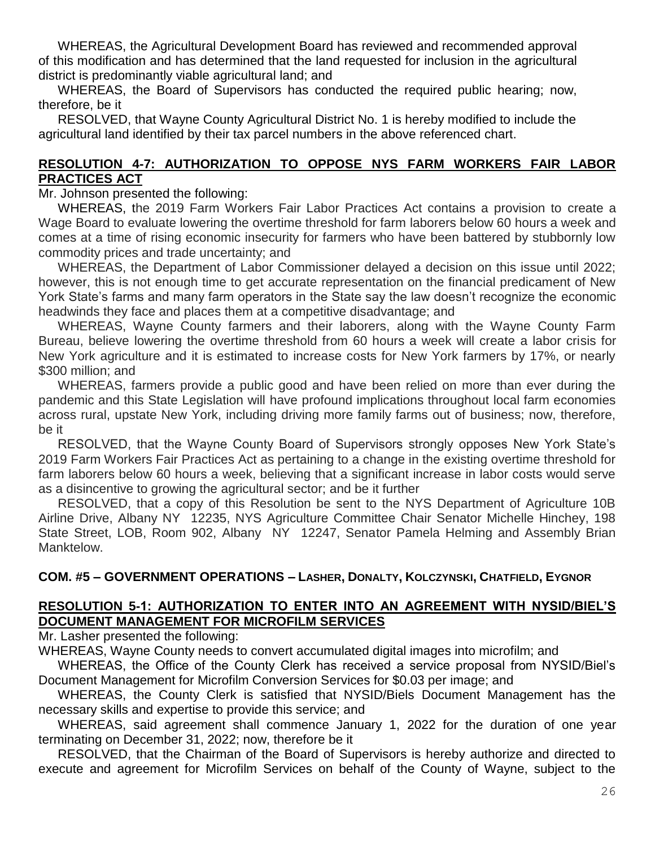WHEREAS, the Agricultural Development Board has reviewed and recommended approval of this modification and has determined that the land requested for inclusion in the agricultural district is predominantly viable agricultural land; and

WHEREAS, the Board of Supervisors has conducted the required public hearing; now, therefore, be it

RESOLVED, that Wayne County Agricultural District No. 1 is hereby modified to include the agricultural land identified by their tax parcel numbers in the above referenced chart.

#### **RESOLUTION 4-7: AUTHORIZATION TO OPPOSE NYS FARM WORKERS FAIR LABOR PRACTICES ACT**

Mr. Johnson presented the following:

WHEREAS, the 2019 Farm Workers Fair Labor Practices Act contains a provision to create a Wage Board to evaluate lowering the overtime threshold for farm laborers below 60 hours a week and comes at a time of rising economic insecurity for farmers who have been battered by stubbornly low commodity prices and trade uncertainty; and

WHEREAS, the Department of Labor Commissioner delayed a decision on this issue until 2022; however, this is not enough time to get accurate representation on the financial predicament of New York State's farms and many farm operators in the State say the law doesn't recognize the economic headwinds they face and places them at a competitive disadvantage; and

WHEREAS, Wayne County farmers and their laborers, along with the Wayne County Farm Bureau, believe lowering the overtime threshold from 60 hours a week will create a labor crisis for New York agriculture and it is estimated to increase costs for New York farmers by 17%, or nearly \$300 million; and

WHEREAS, farmers provide a public good and have been relied on more than ever during the pandemic and this State Legislation will have profound implications throughout local farm economies across rural, upstate New York, including driving more family farms out of business; now, therefore, be it

RESOLVED, that the Wayne County Board of Supervisors strongly opposes New York State's 2019 Farm Workers Fair Practices Act as pertaining to a change in the existing overtime threshold for farm laborers below 60 hours a week, believing that a significant increase in labor costs would serve as a disincentive to growing the agricultural sector; and be it further

RESOLVED, that a copy of this Resolution be sent to the NYS Department of Agriculture 10B Airline Drive, Albany NY 12235, NYS Agriculture Committee Chair Senator Michelle Hinchey, 198 State Street, LOB, Room 902, Albany NY 12247, Senator Pamela Helming and Assembly Brian Manktelow.

### **COM. #5 – GOVERNMENT OPERATIONS – LASHER, DONALTY, KOLCZYNSKI, CHATFIELD, EYGNOR**

### **RESOLUTION 5-1: AUTHORIZATION TO ENTER INTO AN AGREEMENT WITH NYSID/BIEL'S DOCUMENT MANAGEMENT FOR MICROFILM SERVICES**

Mr. Lasher presented the following:

WHEREAS, Wayne County needs to convert accumulated digital images into microfilm; and

WHEREAS, the Office of the County Clerk has received a service proposal from NYSID/Biel's Document Management for Microfilm Conversion Services for \$0.03 per image; and

WHEREAS, the County Clerk is satisfied that NYSID/Biels Document Management has the necessary skills and expertise to provide this service; and

WHEREAS, said agreement shall commence January 1, 2022 for the duration of one year terminating on December 31, 2022; now, therefore be it

RESOLVED, that the Chairman of the Board of Supervisors is hereby authorize and directed to execute and agreement for Microfilm Services on behalf of the County of Wayne, subject to the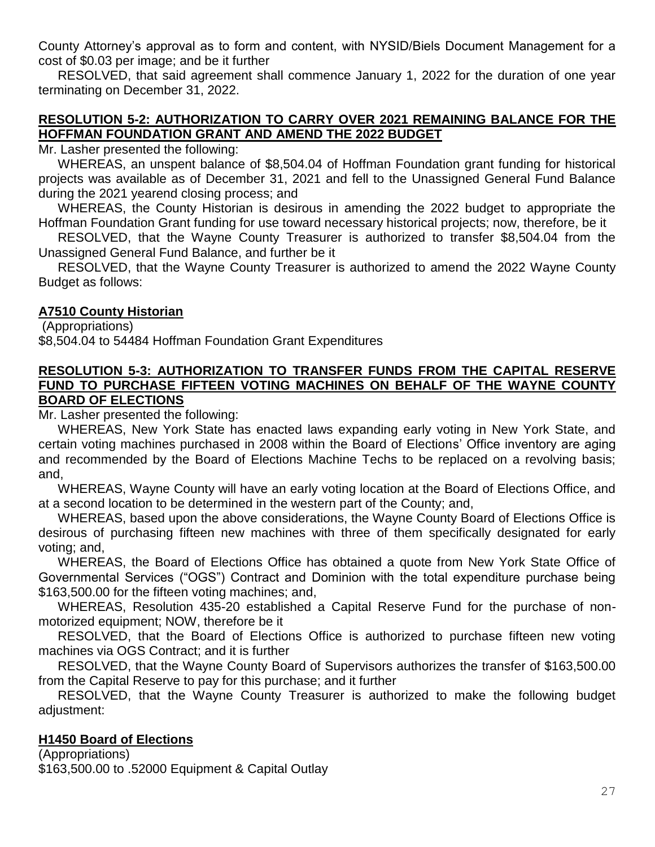County Attorney's approval as to form and content, with NYSID/Biels Document Management for a cost of \$0.03 per image; and be it further

RESOLVED, that said agreement shall commence January 1, 2022 for the duration of one year terminating on December 31, 2022.

#### **RESOLUTION 5-2: AUTHORIZATION TO CARRY OVER 2021 REMAINING BALANCE FOR THE HOFFMAN FOUNDATION GRANT AND AMEND THE 2022 BUDGET**

Mr. Lasher presented the following:

WHEREAS, an unspent balance of \$8,504.04 of Hoffman Foundation grant funding for historical projects was available as of December 31, 2021 and fell to the Unassigned General Fund Balance during the 2021 yearend closing process; and

WHEREAS, the County Historian is desirous in amending the 2022 budget to appropriate the Hoffman Foundation Grant funding for use toward necessary historical projects; now, therefore, be it

RESOLVED, that the Wayne County Treasurer is authorized to transfer \$8,504.04 from the Unassigned General Fund Balance, and further be it

RESOLVED, that the Wayne County Treasurer is authorized to amend the 2022 Wayne County Budget as follows:

### **A7510 County Historian**

(Appropriations) \$8,504.04 to 54484 Hoffman Foundation Grant Expenditures

#### **RESOLUTION 5-3: AUTHORIZATION TO TRANSFER FUNDS FROM THE CAPITAL RESERVE FUND TO PURCHASE FIFTEEN VOTING MACHINES ON BEHALF OF THE WAYNE COUNTY BOARD OF ELECTIONS**

Mr. Lasher presented the following:

WHEREAS, New York State has enacted laws expanding early voting in New York State, and certain voting machines purchased in 2008 within the Board of Elections' Office inventory are aging and recommended by the Board of Elections Machine Techs to be replaced on a revolving basis; and,

WHEREAS, Wayne County will have an early voting location at the Board of Elections Office, and at a second location to be determined in the western part of the County; and,

WHEREAS, based upon the above considerations, the Wayne County Board of Elections Office is desirous of purchasing fifteen new machines with three of them specifically designated for early voting; and,

WHEREAS, the Board of Elections Office has obtained a quote from New York State Office of Governmental Services ("OGS") Contract and Dominion with the total expenditure purchase being \$163,500.00 for the fifteen voting machines; and,

WHEREAS, Resolution 435-20 established a Capital Reserve Fund for the purchase of nonmotorized equipment; NOW, therefore be it

RESOLVED, that the Board of Elections Office is authorized to purchase fifteen new voting machines via OGS Contract; and it is further

RESOLVED, that the Wayne County Board of Supervisors authorizes the transfer of \$163,500.00 from the Capital Reserve to pay for this purchase; and it further

RESOLVED, that the Wayne County Treasurer is authorized to make the following budget adjustment:

### **H1450 Board of Elections**

(Appropriations) \$163,500.00 to .52000 Equipment & Capital Outlay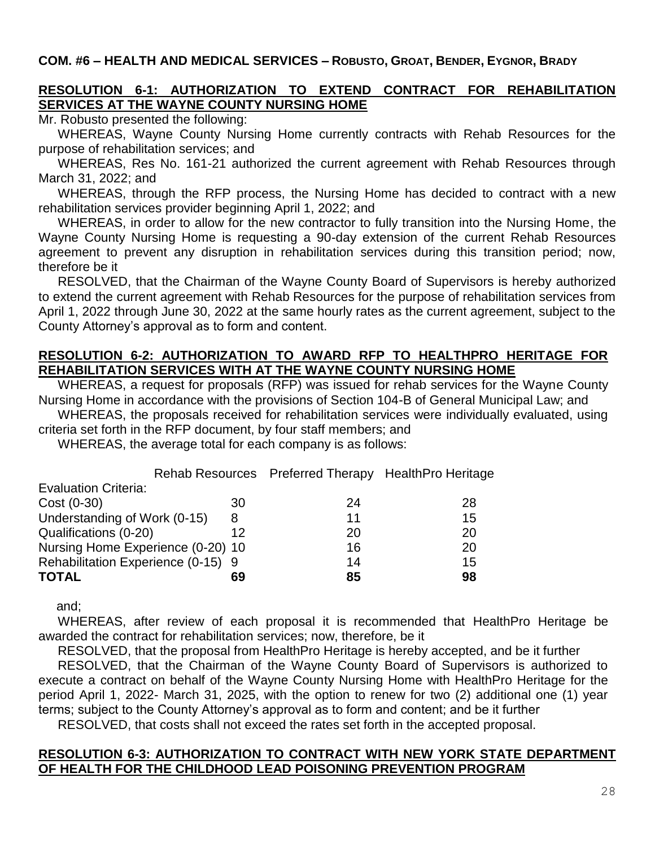#### **COM. #6 – HEALTH AND MEDICAL SERVICES – ROBUSTO, GROAT, BENDER, EYGNOR, BRADY**

### **RESOLUTION 6-1: AUTHORIZATION TO EXTEND CONTRACT FOR REHABILITATION SERVICES AT THE WAYNE COUNTY NURSING HOME**

Mr. Robusto presented the following:

WHEREAS, Wayne County Nursing Home currently contracts with Rehab Resources for the purpose of rehabilitation services; and

WHEREAS, Res No. 161-21 authorized the current agreement with Rehab Resources through March 31, 2022; and

WHEREAS, through the RFP process, the Nursing Home has decided to contract with a new rehabilitation services provider beginning April 1, 2022; and

WHEREAS, in order to allow for the new contractor to fully transition into the Nursing Home, the Wayne County Nursing Home is requesting a 90-day extension of the current Rehab Resources agreement to prevent any disruption in rehabilitation services during this transition period; now, therefore be it

RESOLVED, that the Chairman of the Wayne County Board of Supervisors is hereby authorized to extend the current agreement with Rehab Resources for the purpose of rehabilitation services from April 1, 2022 through June 30, 2022 at the same hourly rates as the current agreement, subject to the County Attorney's approval as to form and content.

#### **RESOLUTION 6-2: AUTHORIZATION TO AWARD RFP TO HEALTHPRO HERITAGE FOR REHABILITATION SERVICES WITH AT THE WAYNE COUNTY NURSING HOME**

WHEREAS, a request for proposals (RFP) was issued for rehab services for the Wayne County Nursing Home in accordance with the provisions of Section 104-B of General Municipal Law; and

WHEREAS, the proposals received for rehabilitation services were individually evaluated, using criteria set forth in the RFP document, by four staff members; and

WHEREAS, the average total for each company is as follows:

|                                    |    |    | Rehab Resources Preferred Therapy Health Pro Heritage |
|------------------------------------|----|----|-------------------------------------------------------|
| <b>Evaluation Criteria:</b>        |    |    |                                                       |
| $Cost (0-30)$                      | 30 | 24 | 28                                                    |
| Understanding of Work (0-15)       | 8  | 11 | 15                                                    |
| Qualifications (0-20)              | 12 | 20 | 20                                                    |
| Nursing Home Experience (0-20) 10  |    | 16 | 20                                                    |
| Rehabilitation Experience (0-15) 9 |    | 14 | 15                                                    |
| <b>TOTAL</b>                       | 69 | 85 | 98                                                    |

and;

WHEREAS, after review of each proposal it is recommended that HealthPro Heritage be awarded the contract for rehabilitation services; now, therefore, be it

RESOLVED, that the proposal from HealthPro Heritage is hereby accepted, and be it further

RESOLVED, that the Chairman of the Wayne County Board of Supervisors is authorized to execute a contract on behalf of the Wayne County Nursing Home with HealthPro Heritage for the period April 1, 2022- March 31, 2025, with the option to renew for two (2) additional one (1) year terms; subject to the County Attorney's approval as to form and content; and be it further

RESOLVED, that costs shall not exceed the rates set forth in the accepted proposal.

#### **RESOLUTION 6-3: AUTHORIZATION TO CONTRACT WITH NEW YORK STATE DEPARTMENT OF HEALTH FOR THE CHILDHOOD LEAD POISONING PREVENTION PROGRAM**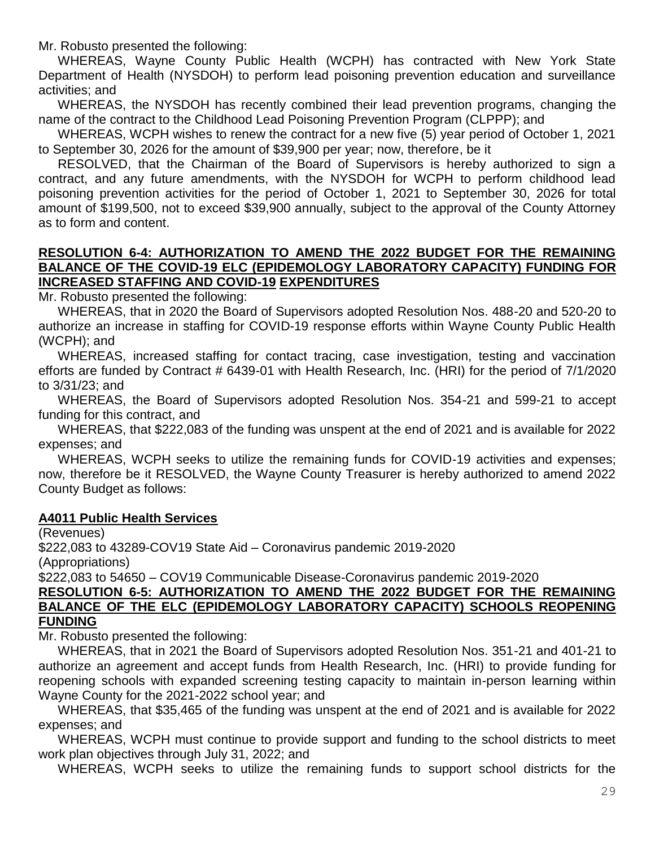Mr. Robusto presented the following:

WHEREAS, Wayne County Public Health (WCPH) has contracted with New York State Department of Health (NYSDOH) to perform lead poisoning prevention education and surveillance activities; and

WHEREAS, the NYSDOH has recently combined their lead prevention programs, changing the name of the contract to the Childhood Lead Poisoning Prevention Program (CLPPP); and

WHEREAS, WCPH wishes to renew the contract for a new five (5) year period of October 1, 2021 to September 30, 2026 for the amount of \$39,900 per year; now, therefore, be it

RESOLVED, that the Chairman of the Board of Supervisors is hereby authorized to sign a contract, and any future amendments, with the NYSDOH for WCPH to perform childhood lead poisoning prevention activities for the period of October 1, 2021 to September 30, 2026 for total amount of \$199,500, not to exceed \$39,900 annually, subject to the approval of the County Attorney as to form and content.

#### **RESOLUTION 6-4: AUTHORIZATION TO AMEND THE 2022 BUDGET FOR THE REMAINING BALANCE OF THE COVID-19 ELC (EPIDEMOLOGY LABORATORY CAPACITY) FUNDING FOR INCREASED STAFFING AND COVID-19 EXPENDITURES**

Mr. Robusto presented the following:

WHEREAS, that in 2020 the Board of Supervisors adopted Resolution Nos. 488-20 and 520-20 to authorize an increase in staffing for COVID-19 response efforts within Wayne County Public Health (WCPH); and

WHEREAS, increased staffing for contact tracing, case investigation, testing and vaccination efforts are funded by Contract # 6439-01 with Health Research, Inc. (HRI) for the period of 7/1/2020 to 3/31/23; and

WHEREAS, the Board of Supervisors adopted Resolution Nos. 354-21 and 599-21 to accept funding for this contract, and

WHEREAS, that \$222,083 of the funding was unspent at the end of 2021 and is available for 2022 expenses; and

WHEREAS, WCPH seeks to utilize the remaining funds for COVID-19 activities and expenses; now, therefore be it RESOLVED, the Wayne County Treasurer is hereby authorized to amend 2022 County Budget as follows:

#### **A4011 Public Health Services**

(Revenues)

\$222,083 to 43289-COV19 State Aid – Coronavirus pandemic 2019-2020

(Appropriations)

\$222,083 to 54650 – COV19 Communicable Disease-Coronavirus pandemic 2019-2020

#### **RESOLUTION 6-5: AUTHORIZATION TO AMEND THE 2022 BUDGET FOR THE REMAINING BALANCE OF THE ELC (EPIDEMOLOGY LABORATORY CAPACITY) SCHOOLS REOPENING FUNDING**

Mr. Robusto presented the following:

WHEREAS, that in 2021 the Board of Supervisors adopted Resolution Nos. 351-21 and 401-21 to authorize an agreement and accept funds from Health Research, Inc. (HRI) to provide funding for reopening schools with expanded screening testing capacity to maintain in-person learning within Wayne County for the 2021-2022 school year; and

WHEREAS, that \$35,465 of the funding was unspent at the end of 2021 and is available for 2022 expenses; and

WHEREAS, WCPH must continue to provide support and funding to the school districts to meet work plan objectives through July 31, 2022; and

WHEREAS, WCPH seeks to utilize the remaining funds to support school districts for the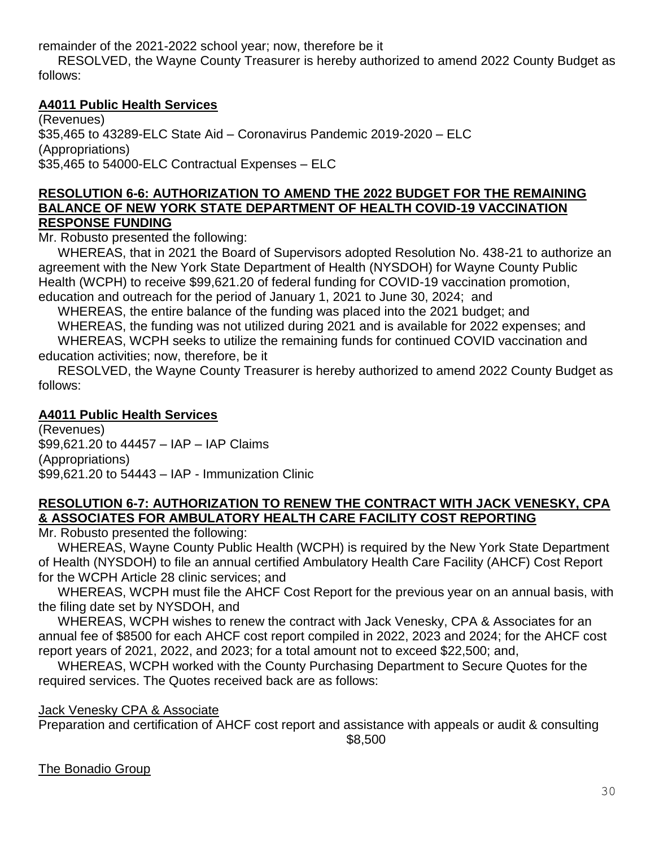remainder of the 2021-2022 school year; now, therefore be it

RESOLVED, the Wayne County Treasurer is hereby authorized to amend 2022 County Budget as follows:

### **A4011 Public Health Services**

(Revenues) \$35,465 to 43289-ELC State Aid – Coronavirus Pandemic 2019-2020 – ELC (Appropriations) \$35,465 to 54000-ELC Contractual Expenses – ELC

#### **RESOLUTION 6-6: AUTHORIZATION TO AMEND THE 2022 BUDGET FOR THE REMAINING BALANCE OF NEW YORK STATE DEPARTMENT OF HEALTH COVID-19 VACCINATION RESPONSE FUNDING**

Mr. Robusto presented the following:

WHEREAS, that in 2021 the Board of Supervisors adopted Resolution No. 438-21 to authorize an agreement with the New York State Department of Health (NYSDOH) for Wayne County Public Health (WCPH) to receive \$99,621.20 of federal funding for COVID-19 vaccination promotion, education and outreach for the period of January 1, 2021 to June 30, 2024; and

WHEREAS, the entire balance of the funding was placed into the 2021 budget; and

WHEREAS, the funding was not utilized during 2021 and is available for 2022 expenses; and WHEREAS, WCPH seeks to utilize the remaining funds for continued COVID vaccination and education activities; now, therefore, be it

RESOLVED, the Wayne County Treasurer is hereby authorized to amend 2022 County Budget as follows:

### **A4011 Public Health Services**

(Revenues) \$99,621.20 to 44457 – IAP – IAP Claims (Appropriations) \$99,621.20 to 54443 – IAP - Immunization Clinic

### **RESOLUTION 6-7: AUTHORIZATION TO RENEW THE CONTRACT WITH JACK VENESKY, CPA & ASSOCIATES FOR AMBULATORY HEALTH CARE FACILITY COST REPORTING**

Mr. Robusto presented the following:

WHEREAS, Wayne County Public Health (WCPH) is required by the New York State Department of Health (NYSDOH) to file an annual certified Ambulatory Health Care Facility (AHCF) Cost Report for the WCPH Article 28 clinic services; and

WHEREAS, WCPH must file the AHCF Cost Report for the previous year on an annual basis, with the filing date set by NYSDOH, and

WHEREAS, WCPH wishes to renew the contract with Jack Venesky, CPA & Associates for an annual fee of \$8500 for each AHCF cost report compiled in 2022, 2023 and 2024; for the AHCF cost report years of 2021, 2022, and 2023; for a total amount not to exceed \$22,500; and,

WHEREAS, WCPH worked with the County Purchasing Department to Secure Quotes for the required services. The Quotes received back are as follows:

### Jack Venesky CPA & Associate

Preparation and certification of AHCF cost report and assistance with appeals or audit & consulting \$8,500

The Bonadio Group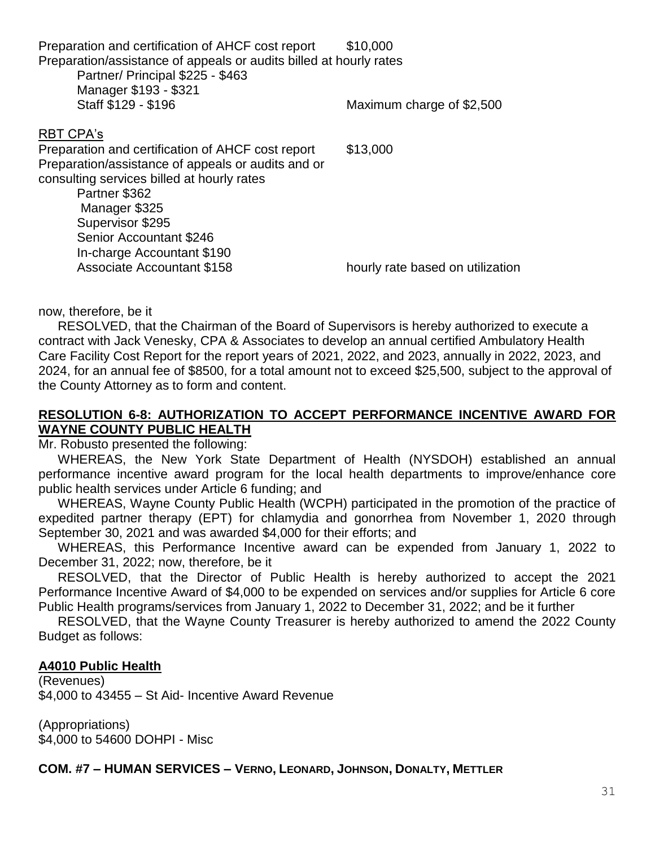| Preparation and certification of AHCF cost report<br>Preparation/assistance of appeals or audits billed at hourly rates | \$10,000                         |
|-------------------------------------------------------------------------------------------------------------------------|----------------------------------|
| Partner/ Principal \$225 - \$463                                                                                        |                                  |
| Manager \$193 - \$321                                                                                                   |                                  |
| Staff \$129 - \$196                                                                                                     | Maximum charge of \$2,500        |
| <b>RBT CPA's</b>                                                                                                        |                                  |
| Preparation and certification of AHCF cost report                                                                       | \$13,000                         |
| Preparation/assistance of appeals or audits and or                                                                      |                                  |
| consulting services billed at hourly rates                                                                              |                                  |
| Partner \$362                                                                                                           |                                  |
| Manager \$325                                                                                                           |                                  |
| Supervisor \$295                                                                                                        |                                  |
| <b>Senior Accountant \$246</b>                                                                                          |                                  |
| In-charge Accountant \$190                                                                                              |                                  |
| <b>Associate Accountant \$158</b>                                                                                       | hourly rate based on utilization |
|                                                                                                                         |                                  |

now, therefore, be it

RESOLVED, that the Chairman of the Board of Supervisors is hereby authorized to execute a contract with Jack Venesky, CPA & Associates to develop an annual certified Ambulatory Health Care Facility Cost Report for the report years of 2021, 2022, and 2023, annually in 2022, 2023, and 2024, for an annual fee of \$8500, for a total amount not to exceed \$25,500, subject to the approval of the County Attorney as to form and content.

### **RESOLUTION 6-8: AUTHORIZATION TO ACCEPT PERFORMANCE INCENTIVE AWARD FOR WAYNE COUNTY PUBLIC HEALTH**

Mr. Robusto presented the following:

WHEREAS, the New York State Department of Health (NYSDOH) established an annual performance incentive award program for the local health departments to improve/enhance core public health services under Article 6 funding; and

WHEREAS, Wayne County Public Health (WCPH) participated in the promotion of the practice of expedited partner therapy (EPT) for chlamydia and gonorrhea from November 1, 2020 through September 30, 2021 and was awarded \$4,000 for their efforts; and

WHEREAS, this Performance Incentive award can be expended from January 1, 2022 to December 31, 2022; now, therefore, be it

RESOLVED, that the Director of Public Health is hereby authorized to accept the 2021 Performance Incentive Award of \$4,000 to be expended on services and/or supplies for Article 6 core Public Health programs/services from January 1, 2022 to December 31, 2022; and be it further

RESOLVED, that the Wayne County Treasurer is hereby authorized to amend the 2022 County Budget as follows:

#### **A4010 Public Health**

(Revenues) \$4,000 to 43455 – St Aid- Incentive Award Revenue

(Appropriations) \$4,000 to 54600 DOHPI - Misc

**COM. #7 – HUMAN SERVICES – VERNO, LEONARD, JOHNSON, DONALTY, METTLER**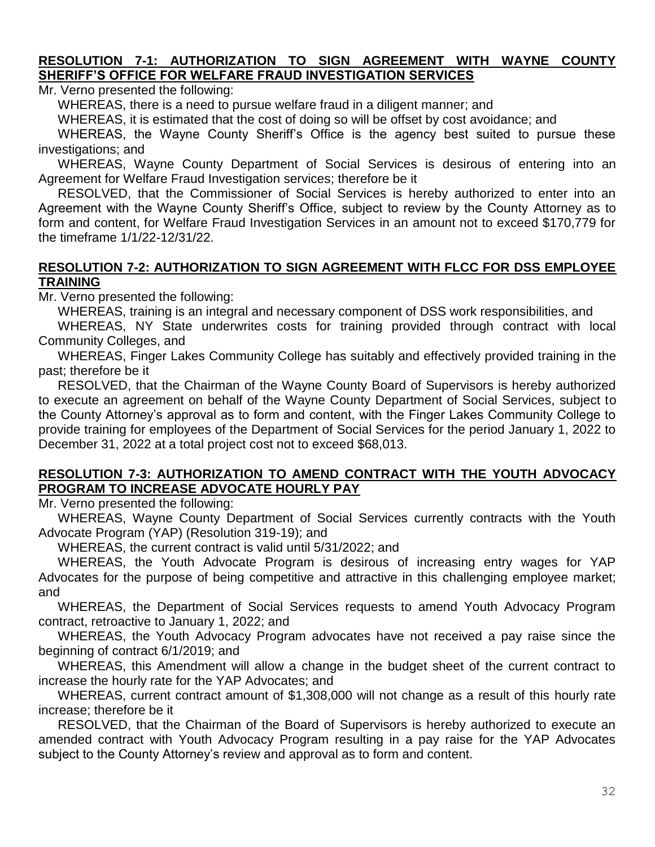#### **RESOLUTION 7-1: AUTHORIZATION TO SIGN AGREEMENT WITH WAYNE COUNTY SHERIFF'S OFFICE FOR WELFARE FRAUD INVESTIGATION SERVICES**

Mr. Verno presented the following:

WHEREAS, there is a need to pursue welfare fraud in a diligent manner; and

WHEREAS, it is estimated that the cost of doing so will be offset by cost avoidance; and

WHEREAS, the Wayne County Sheriff's Office is the agency best suited to pursue these investigations; and

WHEREAS, Wayne County Department of Social Services is desirous of entering into an Agreement for Welfare Fraud Investigation services; therefore be it

RESOLVED, that the Commissioner of Social Services is hereby authorized to enter into an Agreement with the Wayne County Sheriff's Office, subject to review by the County Attorney as to form and content, for Welfare Fraud Investigation Services in an amount not to exceed \$170,779 for the timeframe 1/1/22-12/31/22.

#### **RESOLUTION 7-2: AUTHORIZATION TO SIGN AGREEMENT WITH FLCC FOR DSS EMPLOYEE TRAINING**

Mr. Verno presented the following:

WHEREAS, training is an integral and necessary component of DSS work responsibilities, and

WHEREAS, NY State underwrites costs for training provided through contract with local Community Colleges, and

WHEREAS, Finger Lakes Community College has suitably and effectively provided training in the past; therefore be it

RESOLVED, that the Chairman of the Wayne County Board of Supervisors is hereby authorized to execute an agreement on behalf of the Wayne County Department of Social Services, subject to the County Attorney's approval as to form and content, with the Finger Lakes Community College to provide training for employees of the Department of Social Services for the period January 1, 2022 to December 31, 2022 at a total project cost not to exceed \$68,013.

#### **RESOLUTION 7-3: AUTHORIZATION TO AMEND CONTRACT WITH THE YOUTH ADVOCACY PROGRAM TO INCREASE ADVOCATE HOURLY PAY**

Mr. Verno presented the following:

WHEREAS, Wayne County Department of Social Services currently contracts with the Youth Advocate Program (YAP) (Resolution 319-19); and

WHEREAS, the current contract is valid until 5/31/2022; and

WHEREAS, the Youth Advocate Program is desirous of increasing entry wages for YAP Advocates for the purpose of being competitive and attractive in this challenging employee market; and

WHEREAS, the Department of Social Services requests to amend Youth Advocacy Program contract, retroactive to January 1, 2022; and

WHEREAS, the Youth Advocacy Program advocates have not received a pay raise since the beginning of contract 6/1/2019; and

WHEREAS, this Amendment will allow a change in the budget sheet of the current contract to increase the hourly rate for the YAP Advocates; and

WHEREAS, current contract amount of \$1,308,000 will not change as a result of this hourly rate increase; therefore be it

RESOLVED, that the Chairman of the Board of Supervisors is hereby authorized to execute an amended contract with Youth Advocacy Program resulting in a pay raise for the YAP Advocates subject to the County Attorney's review and approval as to form and content.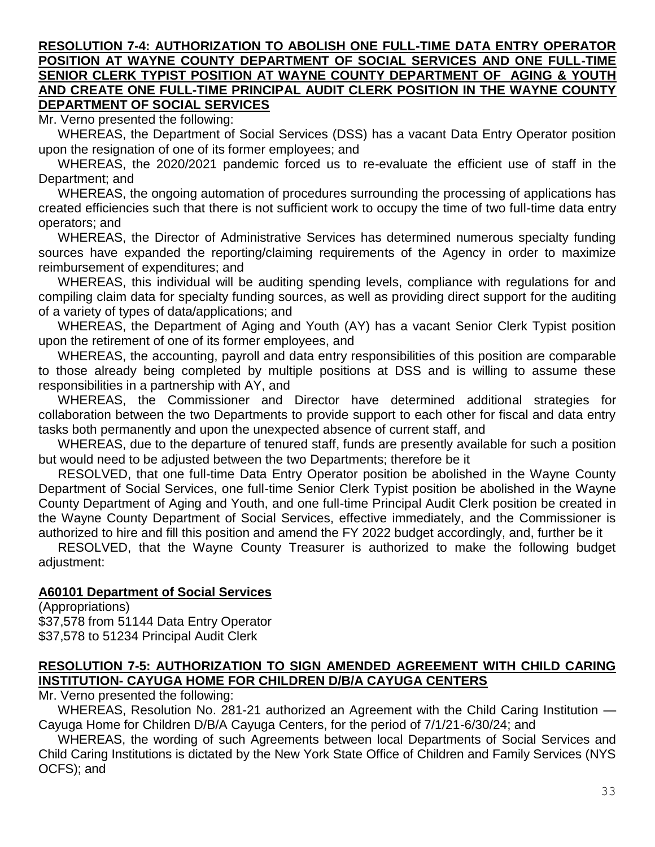#### **RESOLUTION 7-4: AUTHORIZATION TO ABOLISH ONE FULL-TIME DATA ENTRY OPERATOR POSITION AT WAYNE COUNTY DEPARTMENT OF SOCIAL SERVICES AND ONE FULL-TIME SENIOR CLERK TYPIST POSITION AT WAYNE COUNTY DEPARTMENT OF AGING & YOUTH AND CREATE ONE FULL-TIME PRINCIPAL AUDIT CLERK POSITION IN THE WAYNE COUNTY DEPARTMENT OF SOCIAL SERVICES**

Mr. Verno presented the following:

WHEREAS, the Department of Social Services (DSS) has a vacant Data Entry Operator position upon the resignation of one of its former employees; and

WHEREAS, the 2020/2021 pandemic forced us to re-evaluate the efficient use of staff in the Department; and

WHEREAS, the ongoing automation of procedures surrounding the processing of applications has created efficiencies such that there is not sufficient work to occupy the time of two full-time data entry operators; and

WHEREAS, the Director of Administrative Services has determined numerous specialty funding sources have expanded the reporting/claiming requirements of the Agency in order to maximize reimbursement of expenditures; and

WHEREAS, this individual will be auditing spending levels, compliance with regulations for and compiling claim data for specialty funding sources, as well as providing direct support for the auditing of a variety of types of data/applications; and

WHEREAS, the Department of Aging and Youth (AY) has a vacant Senior Clerk Typist position upon the retirement of one of its former employees, and

WHEREAS, the accounting, payroll and data entry responsibilities of this position are comparable to those already being completed by multiple positions at DSS and is willing to assume these responsibilities in a partnership with AY, and

WHEREAS, the Commissioner and Director have determined additional strategies for collaboration between the two Departments to provide support to each other for fiscal and data entry tasks both permanently and upon the unexpected absence of current staff, and

WHEREAS, due to the departure of tenured staff, funds are presently available for such a position but would need to be adjusted between the two Departments; therefore be it

RESOLVED, that one full-time Data Entry Operator position be abolished in the Wayne County Department of Social Services, one full-time Senior Clerk Typist position be abolished in the Wayne County Department of Aging and Youth, and one full-time Principal Audit Clerk position be created in the Wayne County Department of Social Services, effective immediately, and the Commissioner is authorized to hire and fill this position and amend the FY 2022 budget accordingly, and, further be it

RESOLVED, that the Wayne County Treasurer is authorized to make the following budget adjustment:

#### **A60101 Department of Social Services**

(Appropriations) \$37,578 from 51144 Data Entry Operator \$37,578 to 51234 Principal Audit Clerk

#### **RESOLUTION 7-5: AUTHORIZATION TO SIGN AMENDED AGREEMENT WITH CHILD CARING INSTITUTION- CAYUGA HOME FOR CHILDREN D/B/A CAYUGA CENTERS**

Mr. Verno presented the following:

WHEREAS, Resolution No. 281-21 authorized an Agreement with the Child Caring Institution — Cayuga Home for Children D/B/A Cayuga Centers, for the period of 7/1/21-6/30/24; and

WHEREAS, the wording of such Agreements between local Departments of Social Services and Child Caring Institutions is dictated by the New York State Office of Children and Family Services (NYS OCFS); and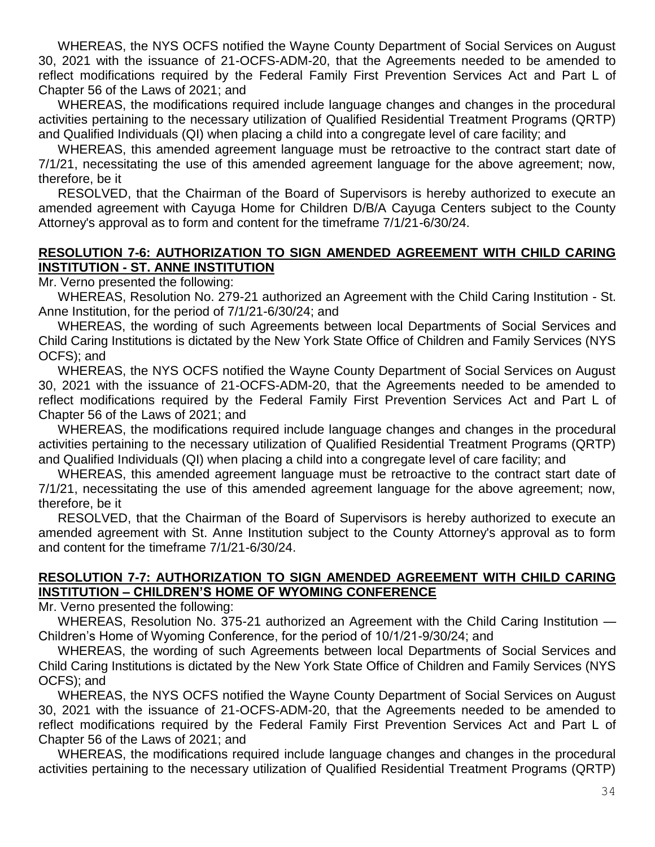WHEREAS, the NYS OCFS notified the Wayne County Department of Social Services on August 30, 2021 with the issuance of 21-OCFS-ADM-20, that the Agreements needed to be amended to reflect modifications required by the Federal Family First Prevention Services Act and Part L of Chapter 56 of the Laws of 2021; and

WHEREAS, the modifications required include language changes and changes in the procedural activities pertaining to the necessary utilization of Qualified Residential Treatment Programs (QRTP) and Qualified Individuals (QI) when placing a child into a congregate level of care facility; and

WHEREAS, this amended agreement language must be retroactive to the contract start date of 7/1/21, necessitating the use of this amended agreement language for the above agreement; now, therefore, be it

RESOLVED, that the Chairman of the Board of Supervisors is hereby authorized to execute an amended agreement with Cayuga Home for Children D/B/A Cayuga Centers subject to the County Attorney's approval as to form and content for the timeframe 7/1/21-6/30/24.

#### **RESOLUTION 7-6: AUTHORIZATION TO SIGN AMENDED AGREEMENT WITH CHILD CARING INSTITUTION - ST. ANNE INSTITUTION**

Mr. Verno presented the following:

WHEREAS, Resolution No. 279-21 authorized an Agreement with the Child Caring Institution - St. Anne Institution, for the period of 7/1/21-6/30/24; and

WHEREAS, the wording of such Agreements between local Departments of Social Services and Child Caring Institutions is dictated by the New York State Office of Children and Family Services (NYS OCFS); and

WHEREAS, the NYS OCFS notified the Wayne County Department of Social Services on August 30, 2021 with the issuance of 21-OCFS-ADM-20, that the Agreements needed to be amended to reflect modifications required by the Federal Family First Prevention Services Act and Part L of Chapter 56 of the Laws of 2021; and

WHEREAS, the modifications required include language changes and changes in the procedural activities pertaining to the necessary utilization of Qualified Residential Treatment Programs (QRTP) and Qualified Individuals (QI) when placing a child into a congregate level of care facility; and

WHEREAS, this amended agreement language must be retroactive to the contract start date of 7/1/21, necessitating the use of this amended agreement language for the above agreement; now, therefore, be it

RESOLVED, that the Chairman of the Board of Supervisors is hereby authorized to execute an amended agreement with St. Anne Institution subject to the County Attorney's approval as to form and content for the timeframe 7/1/21-6/30/24.

#### **RESOLUTION 7-7: AUTHORIZATION TO SIGN AMENDED AGREEMENT WITH CHILD CARING INSTITUTION – CHILDREN'S HOME OF WYOMING CONFERENCE**

Mr. Verno presented the following:

WHEREAS, Resolution No. 375-21 authorized an Agreement with the Child Caring Institution — Children's Home of Wyoming Conference, for the period of 10/1/21-9/30/24; and

WHEREAS, the wording of such Agreements between local Departments of Social Services and Child Caring Institutions is dictated by the New York State Office of Children and Family Services (NYS OCFS); and

WHEREAS, the NYS OCFS notified the Wayne County Department of Social Services on August 30, 2021 with the issuance of 21-OCFS-ADM-20, that the Agreements needed to be amended to reflect modifications required by the Federal Family First Prevention Services Act and Part L of Chapter 56 of the Laws of 2021; and

WHEREAS, the modifications required include language changes and changes in the procedural activities pertaining to the necessary utilization of Qualified Residential Treatment Programs (QRTP)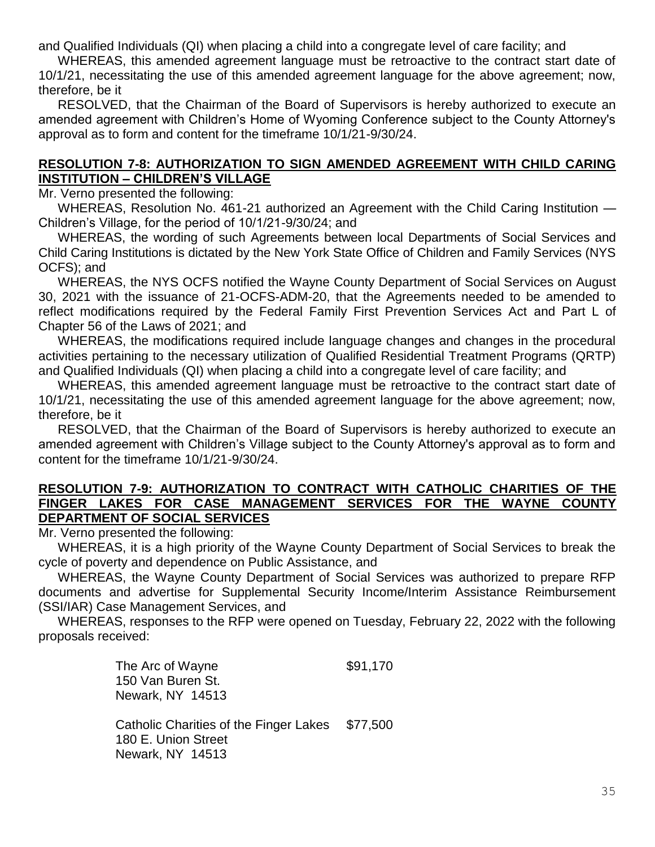and Qualified Individuals (QI) when placing a child into a congregate level of care facility; and

WHEREAS, this amended agreement language must be retroactive to the contract start date of 10/1/21, necessitating the use of this amended agreement language for the above agreement; now, therefore, be it

RESOLVED, that the Chairman of the Board of Supervisors is hereby authorized to execute an amended agreement with Children's Home of Wyoming Conference subject to the County Attorney's approval as to form and content for the timeframe 10/1/21-9/30/24.

#### **RESOLUTION 7-8: AUTHORIZATION TO SIGN AMENDED AGREEMENT WITH CHILD CARING INSTITUTION – CHILDREN'S VILLAGE**

Mr. Verno presented the following:

WHEREAS, Resolution No. 461-21 authorized an Agreement with the Child Caring Institution — Children's Village, for the period of 10/1/21-9/30/24; and

WHEREAS, the wording of such Agreements between local Departments of Social Services and Child Caring Institutions is dictated by the New York State Office of Children and Family Services (NYS OCFS); and

WHEREAS, the NYS OCFS notified the Wayne County Department of Social Services on August 30, 2021 with the issuance of 21-OCFS-ADM-20, that the Agreements needed to be amended to reflect modifications required by the Federal Family First Prevention Services Act and Part L of Chapter 56 of the Laws of 2021; and

WHEREAS, the modifications required include language changes and changes in the procedural activities pertaining to the necessary utilization of Qualified Residential Treatment Programs (QRTP) and Qualified Individuals (QI) when placing a child into a congregate level of care facility; and

WHEREAS, this amended agreement language must be retroactive to the contract start date of 10/1/21, necessitating the use of this amended agreement language for the above agreement; now, therefore, be it

RESOLVED, that the Chairman of the Board of Supervisors is hereby authorized to execute an amended agreement with Children's Village subject to the County Attorney's approval as to form and content for the timeframe 10/1/21-9/30/24.

#### **RESOLUTION 7-9: AUTHORIZATION TO CONTRACT WITH CATHOLIC CHARITIES OF THE FINGER LAKES FOR CASE MANAGEMENT SERVICES FOR THE WAYNE COUNTY DEPARTMENT OF SOCIAL SERVICES**

Mr. Verno presented the following:

WHEREAS, it is a high priority of the Wayne County Department of Social Services to break the cycle of poverty and dependence on Public Assistance, and

WHEREAS, the Wayne County Department of Social Services was authorized to prepare RFP documents and advertise for Supplemental Security Income/Interim Assistance Reimbursement (SSI/IAR) Case Management Services, and

WHEREAS, responses to the RFP were opened on Tuesday, February 22, 2022 with the following proposals received:

> The Arc of Wayne  $$91,170$ 150 Van Buren St. Newark, NY 14513

Catholic Charities of the Finger Lakes \$77,500 180 E. Union Street Newark, NY 14513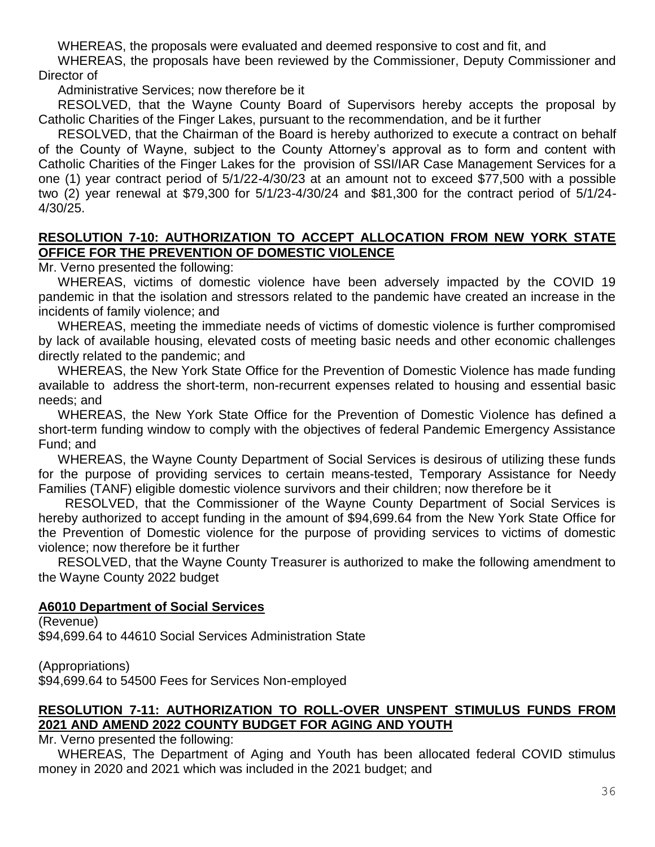WHEREAS, the proposals were evaluated and deemed responsive to cost and fit, and

WHEREAS, the proposals have been reviewed by the Commissioner, Deputy Commissioner and Director of

Administrative Services; now therefore be it

RESOLVED, that the Wayne County Board of Supervisors hereby accepts the proposal by Catholic Charities of the Finger Lakes, pursuant to the recommendation, and be it further

RESOLVED, that the Chairman of the Board is hereby authorized to execute a contract on behalf of the County of Wayne, subject to the County Attorney's approval as to form and content with Catholic Charities of the Finger Lakes for the provision of SSI/IAR Case Management Services for a one (1) year contract period of 5/1/22-4/30/23 at an amount not to exceed \$77,500 with a possible two (2) year renewal at \$79,300 for 5/1/23-4/30/24 and \$81,300 for the contract period of 5/1/24- 4/30/25.

#### **RESOLUTION 7-10: AUTHORIZATION TO ACCEPT ALLOCATION FROM NEW YORK STATE OFFICE FOR THE PREVENTION OF DOMESTIC VIOLENCE**

Mr. Verno presented the following:

WHEREAS, victims of domestic violence have been adversely impacted by the COVID 19 pandemic in that the isolation and stressors related to the pandemic have created an increase in the incidents of family violence; and

WHEREAS, meeting the immediate needs of victims of domestic violence is further compromised by lack of available housing, elevated costs of meeting basic needs and other economic challenges directly related to the pandemic; and

WHEREAS, the New York State Office for the Prevention of Domestic Violence has made funding available to address the short-term, non-recurrent expenses related to housing and essential basic needs; and

WHEREAS, the New York State Office for the Prevention of Domestic Violence has defined a short-term funding window to comply with the objectives of federal Pandemic Emergency Assistance Fund; and

WHEREAS, the Wayne County Department of Social Services is desirous of utilizing these funds for the purpose of providing services to certain means-tested, Temporary Assistance for Needy Families (TANF) eligible domestic violence survivors and their children; now therefore be it

RESOLVED, that the Commissioner of the Wayne County Department of Social Services is hereby authorized to accept funding in the amount of \$94,699.64 from the New York State Office for the Prevention of Domestic violence for the purpose of providing services to victims of domestic violence; now therefore be it further

RESOLVED, that the Wayne County Treasurer is authorized to make the following amendment to the Wayne County 2022 budget

### **A6010 Department of Social Services**

(Revenue) \$94,699.64 to 44610 Social Services Administration State

(Appropriations) \$94,699.64 to 54500 Fees for Services Non-employed

### **RESOLUTION 7-11: AUTHORIZATION TO ROLL-OVER UNSPENT STIMULUS FUNDS FROM 2021 AND AMEND 2022 COUNTY BUDGET FOR AGING AND YOUTH**

Mr. Verno presented the following:

WHEREAS, The Department of Aging and Youth has been allocated federal COVID stimulus money in 2020 and 2021 which was included in the 2021 budget; and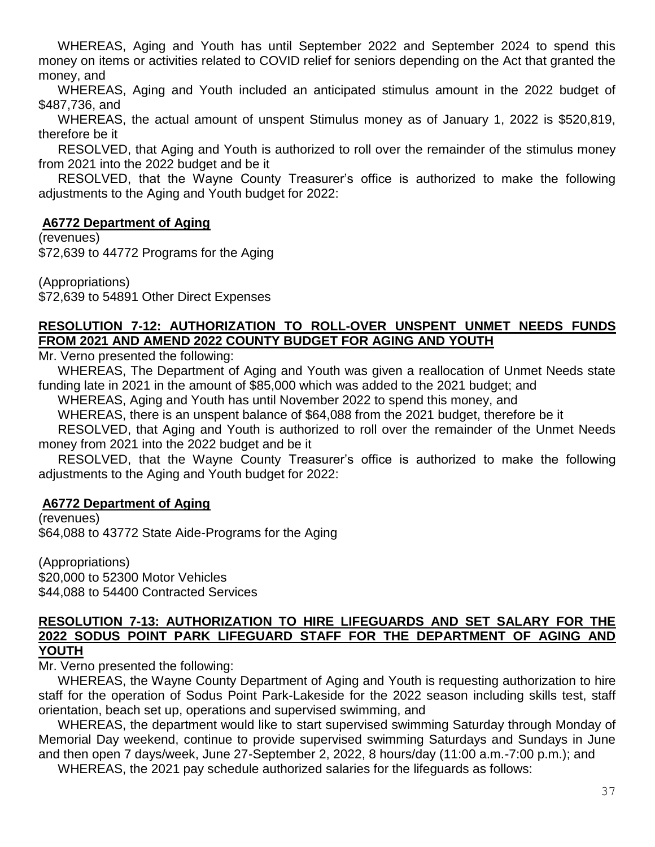WHEREAS, Aging and Youth has until September 2022 and September 2024 to spend this money on items or activities related to COVID relief for seniors depending on the Act that granted the money, and

WHEREAS, Aging and Youth included an anticipated stimulus amount in the 2022 budget of \$487,736, and

WHEREAS, the actual amount of unspent Stimulus money as of January 1, 2022 is \$520,819, therefore be it

RESOLVED, that Aging and Youth is authorized to roll over the remainder of the stimulus money from 2021 into the 2022 budget and be it

RESOLVED, that the Wayne County Treasurer's office is authorized to make the following adjustments to the Aging and Youth budget for 2022:

### **A6772 Department of Aging**

(revenues)

\$72,639 to 44772 Programs for the Aging

(Appropriations) \$72,639 to 54891 Other Direct Expenses

### **RESOLUTION 7-12: AUTHORIZATION TO ROLL-OVER UNSPENT UNMET NEEDS FUNDS FROM 2021 AND AMEND 2022 COUNTY BUDGET FOR AGING AND YOUTH**

Mr. Verno presented the following:

WHEREAS, The Department of Aging and Youth was given a reallocation of Unmet Needs state funding late in 2021 in the amount of \$85,000 which was added to the 2021 budget; and

WHEREAS, Aging and Youth has until November 2022 to spend this money, and

WHEREAS, there is an unspent balance of \$64,088 from the 2021 budget, therefore be it

RESOLVED, that Aging and Youth is authorized to roll over the remainder of the Unmet Needs money from 2021 into the 2022 budget and be it

RESOLVED, that the Wayne County Treasurer's office is authorized to make the following adjustments to the Aging and Youth budget for 2022:

### **A6772 Department of Aging**

(revenues) \$64,088 to 43772 State Aide-Programs for the Aging

(Appropriations) \$20,000 to 52300 Motor Vehicles \$44,088 to 54400 Contracted Services

#### **RESOLUTION 7-13: AUTHORIZATION TO HIRE LIFEGUARDS AND SET SALARY FOR THE 2022 SODUS POINT PARK LIFEGUARD STAFF FOR THE DEPARTMENT OF AGING AND YOUTH**

Mr. Verno presented the following:

WHEREAS, the Wayne County Department of Aging and Youth is requesting authorization to hire staff for the operation of Sodus Point Park-Lakeside for the 2022 season including skills test, staff orientation, beach set up, operations and supervised swimming, and

WHEREAS, the department would like to start supervised swimming Saturday through Monday of Memorial Day weekend, continue to provide supervised swimming Saturdays and Sundays in June and then open 7 days/week, June 27-September 2, 2022, 8 hours/day (11:00 a.m.-7:00 p.m.); and

WHEREAS, the 2021 pay schedule authorized salaries for the lifeguards as follows: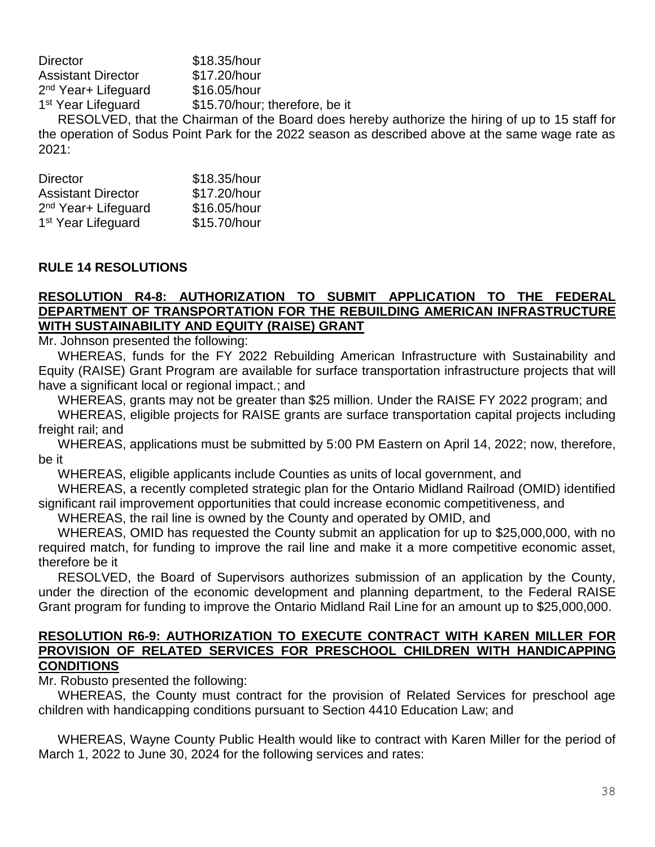| <b>Director</b>                 | \$18.35/hour                   |
|---------------------------------|--------------------------------|
| <b>Assistant Director</b>       | \$17.20/hour                   |
| 2 <sup>nd</sup> Year+ Lifeguard | \$16.05/hour                   |
| 1 <sup>st</sup> Year Lifeguard  | \$15.70/hour; therefore, be it |
| ---------                       |                                |

RESOLVED, that the Chairman of the Board does hereby authorize the hiring of up to 15 staff for the operation of Sodus Point Park for the 2022 season as described above at the same wage rate as 2021:

| <b>Director</b>                 | \$18.35/hour |
|---------------------------------|--------------|
| <b>Assistant Director</b>       | \$17.20/hour |
| 2 <sup>nd</sup> Year+ Lifeguard | \$16.05/hour |
| 1 <sup>st</sup> Year Lifeguard  | \$15.70/hour |

#### **RULE 14 RESOLUTIONS**

#### **RESOLUTION R4-8: AUTHORIZATION TO SUBMIT APPLICATION TO THE FEDERAL DEPARTMENT OF TRANSPORTATION FOR THE REBUILDING AMERICAN INFRASTRUCTURE WITH SUSTAINABILITY AND EQUITY (RAISE) GRANT**

Mr. Johnson presented the following:

WHEREAS, funds for the FY 2022 Rebuilding American Infrastructure with Sustainability and Equity (RAISE) Grant Program are available for surface transportation infrastructure projects that will have a significant local or regional impact.; and

WHEREAS, grants may not be greater than \$25 million. Under the RAISE FY 2022 program; and WHEREAS, eligible projects for RAISE grants are surface transportation capital projects including freight rail; and

WHEREAS, applications must be submitted by 5:00 PM Eastern on April 14, 2022; now, therefore, be it

WHEREAS, eligible applicants include Counties as units of local government, and

WHEREAS, a recently completed strategic plan for the Ontario Midland Railroad (OMID) identified significant rail improvement opportunities that could increase economic competitiveness, and

WHEREAS, the rail line is owned by the County and operated by OMID, and

WHEREAS, OMID has requested the County submit an application for up to \$25,000,000, with no required match, for funding to improve the rail line and make it a more competitive economic asset, therefore be it

RESOLVED, the Board of Supervisors authorizes submission of an application by the County, under the direction of the economic development and planning department, to the Federal RAISE Grant program for funding to improve the Ontario Midland Rail Line for an amount up to \$25,000,000.

#### **RESOLUTION R6-9: AUTHORIZATION TO EXECUTE CONTRACT WITH KAREN MILLER FOR PROVISION OF RELATED SERVICES FOR PRESCHOOL CHILDREN WITH HANDICAPPING CONDITIONS**

Mr. Robusto presented the following:

WHEREAS, the County must contract for the provision of Related Services for preschool age children with handicapping conditions pursuant to Section 4410 Education Law; and

WHEREAS, Wayne County Public Health would like to contract with Karen Miller for the period of March 1, 2022 to June 30, 2024 for the following services and rates: